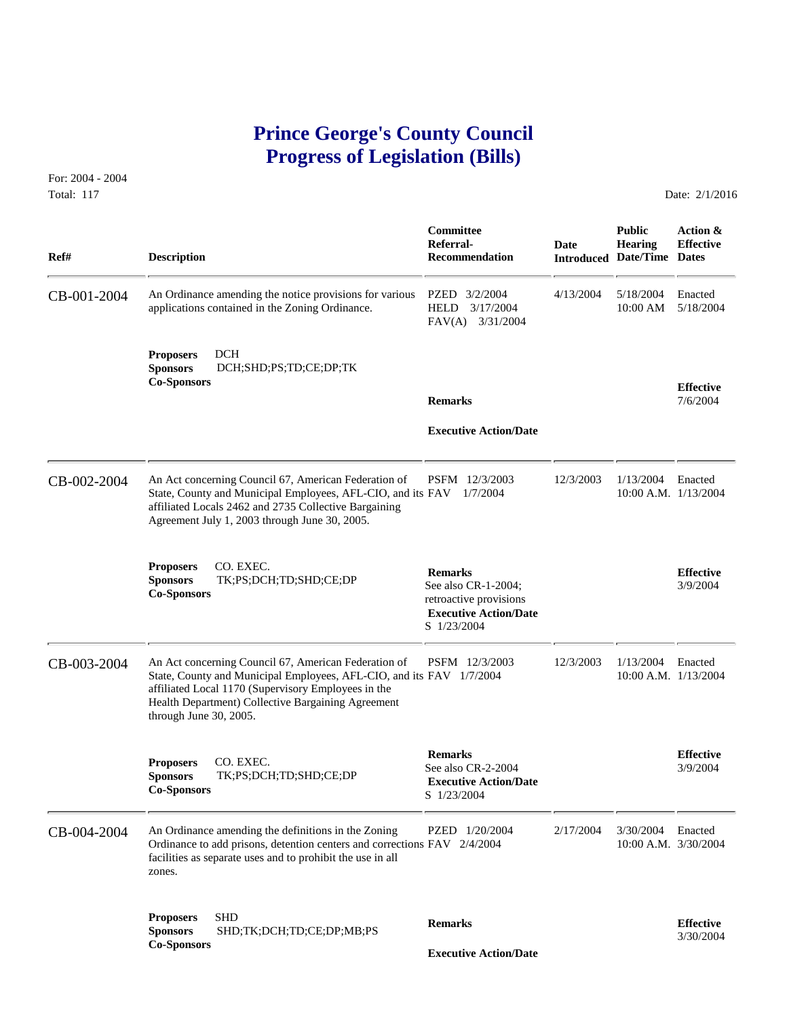# **Prince George's County Council Progress of Legislation (Bills)**

For: 2004 - 2004 Total: 117 **Date: 2/1/2016** 

 **Committee Public Action & Referral- Date Hearing Effective Ref# Description Recommendation Introduced Date/Time Dates** CB-001-2004 An Ordinance amending the notice provisions for various PZED 3/2/2004 4/13/2004 5/18/2004 5/18/2004 applications contained in the Zoning Ordinance. HELD 3/17/2004 10:00 AM 5/18/2004 applications contained in the Zoning Ordinance. FAV(A) 3/31/2004 **Proposers** DCH **Sponsors** DCH;SHD;PS;TD;CE;DP;TK **Co-Sponsors Effective Remarks** 7/6/2004  **Executive Action/Date** CB-002-2004 An Act concerning Council 67, American Federation of PSFM 12/3/2003 12/3/2003 1/13/2004 Enacted<br>State, County and Municipal Employees, AFL-CIO, and its FAV 1/7/2004 10:00 A.M. 1/13/2004 State, County and Municipal Employees, AFL-CIO, and its FAV 1/7/2004 affiliated Locals 2462 and 2735 Collective Bargaining Agreement July 1, 2003 through June 30, 2005. **Proposers CO. EXEC. Remarks Effective Execution Effective Sponsors TK**;PS;DCH;TD;SHD;CE;DP See also CR-1-2004; 3/9/2004 **Co-Sponsors CO. Execution CO. Execution CO. Execution CO. Execution CO Executive Action/Date** S 1/23/2004 CB-003-2004 An Act concerning Council 67, American Federation of PSFM 12/3/2003 12/3/2003 1/13/2004 Enacted<br>State, County and Municipal Employees, AFL-CIO, and its FAV 1/7/2004 10:00 A.M. 1/13/2004 State, County and Municipal Employees, AFL-CIO, and its FAV 1/7/2004 affiliated Local 1170 (Supervisory Employees in the Health Department) Collective Bargaining Agreement through June 30, 2005. **Remarks Effective Effective Proposers CO. EXEC. Sponsors Effective See also CR-2-2004 See also CR-2-2004 Executive Action/Date Co-Sponsors Co-Sponsors Co-Sponsors Co-Sponsors Co-Sponsors Co-S** CB-004-2004 An Ordinance amending the definitions in the Zoning PZED 1/20/2004 2/17/2004 3/30/2004 Enacted Ordinance to add prisons, detention centers and corrections FAV 2/4/2004 10:00 A.M. 3/30/2004 Ordinance to add prisons, detention centers and corrections FAV 2/4/2004 facilities as separate uses and to prohibit the use in all zones. **Proposers SHD**<br> **Remarks Effective Effective**<br> **Co-Sponsors Co-Sponsors Executive Action/Date**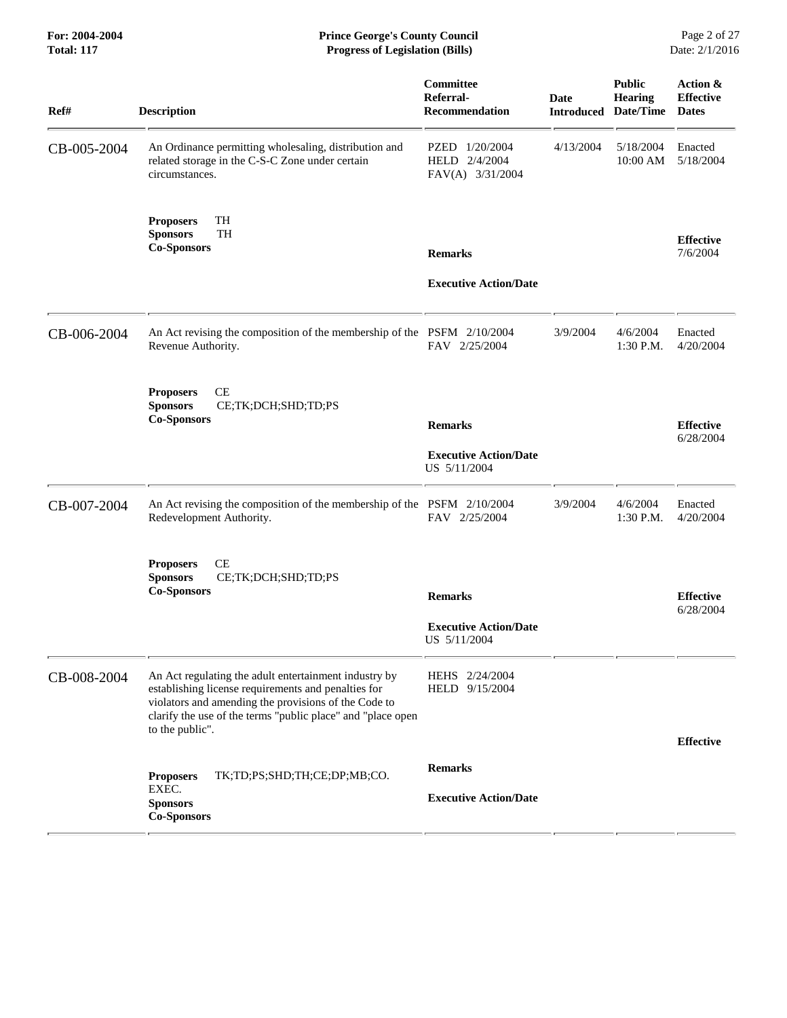| Ref#        | <b>Description</b>                                                                                                                                                                                                                                     | Committee<br>Referral-<br>Recommendation                         | Date<br><b>Introduced</b> | <b>Public</b><br><b>Hearing</b><br>Date/Time | Action &<br><b>Effective</b><br><b>Dates</b> |
|-------------|--------------------------------------------------------------------------------------------------------------------------------------------------------------------------------------------------------------------------------------------------------|------------------------------------------------------------------|---------------------------|----------------------------------------------|----------------------------------------------|
| CB-005-2004 | An Ordinance permitting wholesaling, distribution and<br>related storage in the C-S-C Zone under certain<br>circumstances.                                                                                                                             | PZED 1/20/2004<br>HELD 2/4/2004<br>FAV(A) 3/31/2004              | 4/13/2004                 | 5/18/2004<br>10:00 AM                        | Enacted<br>5/18/2004                         |
|             | TH<br><b>Proposers</b><br><b>TH</b><br><b>Sponsors</b><br><b>Co-Sponsors</b>                                                                                                                                                                           | <b>Remarks</b><br><b>Executive Action/Date</b>                   |                           |                                              | <b>Effective</b><br>7/6/2004                 |
| CB-006-2004 | An Act revising the composition of the membership of the PSFM 2/10/2004<br>Revenue Authority.                                                                                                                                                          | FAV 2/25/2004                                                    | 3/9/2004                  | 4/6/2004<br>1:30 P.M.                        | Enacted<br>4/20/2004                         |
|             | CE<br><b>Proposers</b><br><b>Sponsors</b><br>CE;TK;DCH;SHD;TD;PS<br><b>Co-Sponsors</b>                                                                                                                                                                 | <b>Remarks</b><br><b>Executive Action/Date</b><br>US 5/11/2004   |                           |                                              | <b>Effective</b><br>6/28/2004                |
| CB-007-2004 | An Act revising the composition of the membership of the PSFM 2/10/2004<br>Redevelopment Authority.                                                                                                                                                    | FAV 2/25/2004                                                    | 3/9/2004                  | 4/6/2004<br>1:30 P.M.                        | Enacted<br>4/20/2004                         |
|             | CE<br><b>Proposers</b><br>CE;TK;DCH;SHD;TD;PS<br><b>Sponsors</b><br><b>Co-Sponsors</b>                                                                                                                                                                 | <b>Remarks</b><br><b>Executive Action/Date</b><br>US $5/11/2004$ |                           |                                              | <b>Effective</b><br>6/28/2004                |
| CB-008-2004 | An Act regulating the adult entertainment industry by<br>establishing license requirements and penalties for<br>violators and amending the provisions of the Code to<br>clarify the use of the terms "public place" and "place open<br>to the public". | HEHS 2/24/2004<br>HELD 9/15/2004                                 |                           |                                              | <b>Effective</b>                             |
|             | TK;TD;PS;SHD;TH;CE;DP;MB;CO.<br><b>Proposers</b><br>EXEC.<br><b>Sponsors</b><br><b>Co-Sponsors</b>                                                                                                                                                     | <b>Remarks</b><br><b>Executive Action/Date</b>                   |                           |                                              |                                              |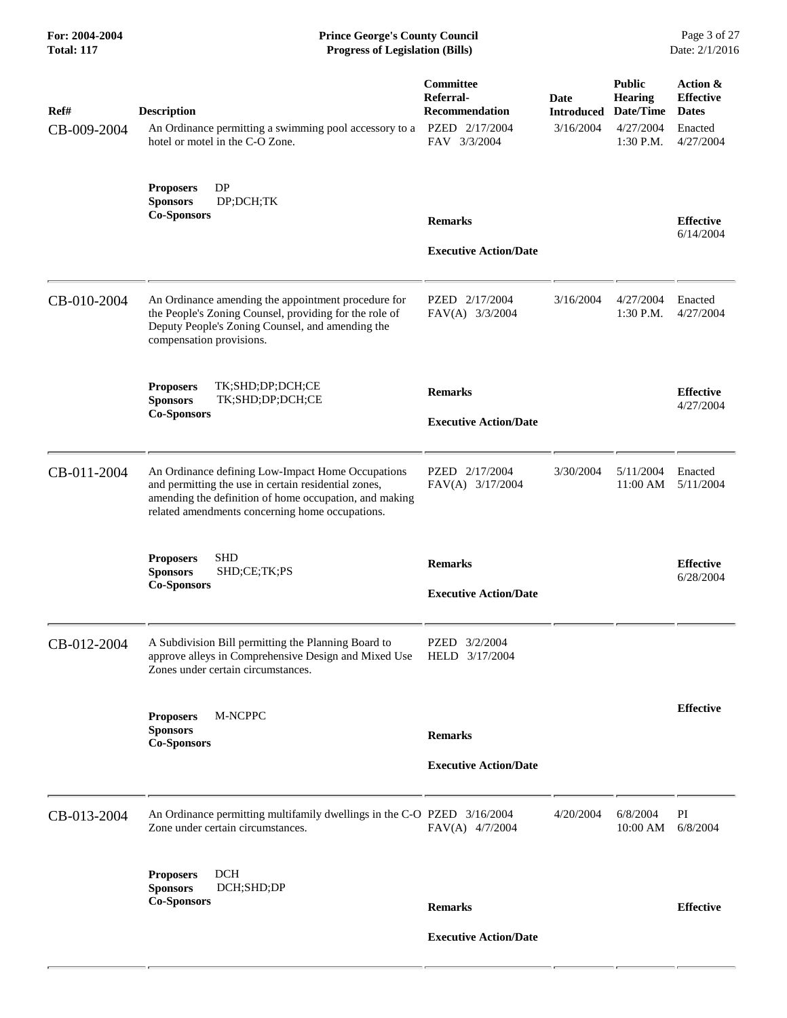| Ref#<br>CB-009-2004 | <b>Description</b><br>An Ordinance permitting a swimming pool accessory to a<br>hotel or motel in the C-O Zone.                                                                                                        | Committee<br>Referral-<br><b>Recommendation</b><br>PZED 2/17/2004<br>FAV 3/3/2004 | Date<br><b>Introduced</b><br>3/16/2004 | <b>Public</b><br><b>Hearing</b><br>Date/Time<br>4/27/2004<br>1:30 P.M. | Action &<br><b>Effective</b><br><b>Dates</b><br>Enacted<br>4/27/2004 |
|---------------------|------------------------------------------------------------------------------------------------------------------------------------------------------------------------------------------------------------------------|-----------------------------------------------------------------------------------|----------------------------------------|------------------------------------------------------------------------|----------------------------------------------------------------------|
|                     | DP<br><b>Proposers</b><br><b>Sponsors</b><br>DP;DCH;TK<br><b>Co-Sponsors</b>                                                                                                                                           | <b>Remarks</b><br><b>Executive Action/Date</b>                                    |                                        |                                                                        | <b>Effective</b><br>6/14/2004                                        |
| CB-010-2004         | An Ordinance amending the appointment procedure for<br>the People's Zoning Counsel, providing for the role of<br>Deputy People's Zoning Counsel, and amending the<br>compensation provisions.                          | PZED 2/17/2004<br>FAV(A) 3/3/2004                                                 | 3/16/2004                              | 4/27/2004<br>1:30 P.M.                                                 | Enacted<br>4/27/2004                                                 |
|                     | <b>Proposers</b><br>TK;SHD;DP;DCH;CE<br>TK;SHD;DP;DCH;CE<br><b>Sponsors</b><br><b>Co-Sponsors</b>                                                                                                                      | <b>Remarks</b><br><b>Executive Action/Date</b>                                    |                                        |                                                                        | <b>Effective</b><br>4/27/2004                                        |
| CB-011-2004         | An Ordinance defining Low-Impact Home Occupations<br>and permitting the use in certain residential zones,<br>amending the definition of home occupation, and making<br>related amendments concerning home occupations. | PZED 2/17/2004<br>FAV(A) 3/17/2004                                                | 3/30/2004                              | 5/11/2004<br>11:00 AM                                                  | Enacted<br>5/11/2004                                                 |
|                     | <b>SHD</b><br><b>Proposers</b><br><b>Sponsors</b><br>SHD;CE;TK;PS<br><b>Co-Sponsors</b>                                                                                                                                | <b>Remarks</b><br><b>Executive Action/Date</b>                                    |                                        |                                                                        | <b>Effective</b><br>6/28/2004                                        |
| CB-012-2004         | A Subdivision Bill permitting the Planning Board to<br>approve alleys in Comprehensive Design and Mixed Use HELD 3/17/2004<br>Zones under certain circumstances.                                                       | PZED 3/2/2004                                                                     |                                        |                                                                        |                                                                      |
|                     | M-NCPPC<br><b>Proposers</b><br><b>Sponsors</b><br><b>Co-Sponsors</b>                                                                                                                                                   | <b>Remarks</b><br><b>Executive Action/Date</b>                                    |                                        |                                                                        | <b>Effective</b>                                                     |
| CB-013-2004         | An Ordinance permitting multifamily dwellings in the C-O PZED 3/16/2004<br>Zone under certain circumstances.                                                                                                           | $FAV(A)$ 4/7/2004                                                                 | 4/20/2004                              | 6/8/2004<br>10:00 AM                                                   | PI<br>6/8/2004                                                       |
|                     | <b>DCH</b><br><b>Proposers</b><br><b>Sponsors</b><br>DCH;SHD;DP<br><b>Co-Sponsors</b>                                                                                                                                  | <b>Remarks</b><br><b>Executive Action/Date</b>                                    |                                        |                                                                        | <b>Effective</b>                                                     |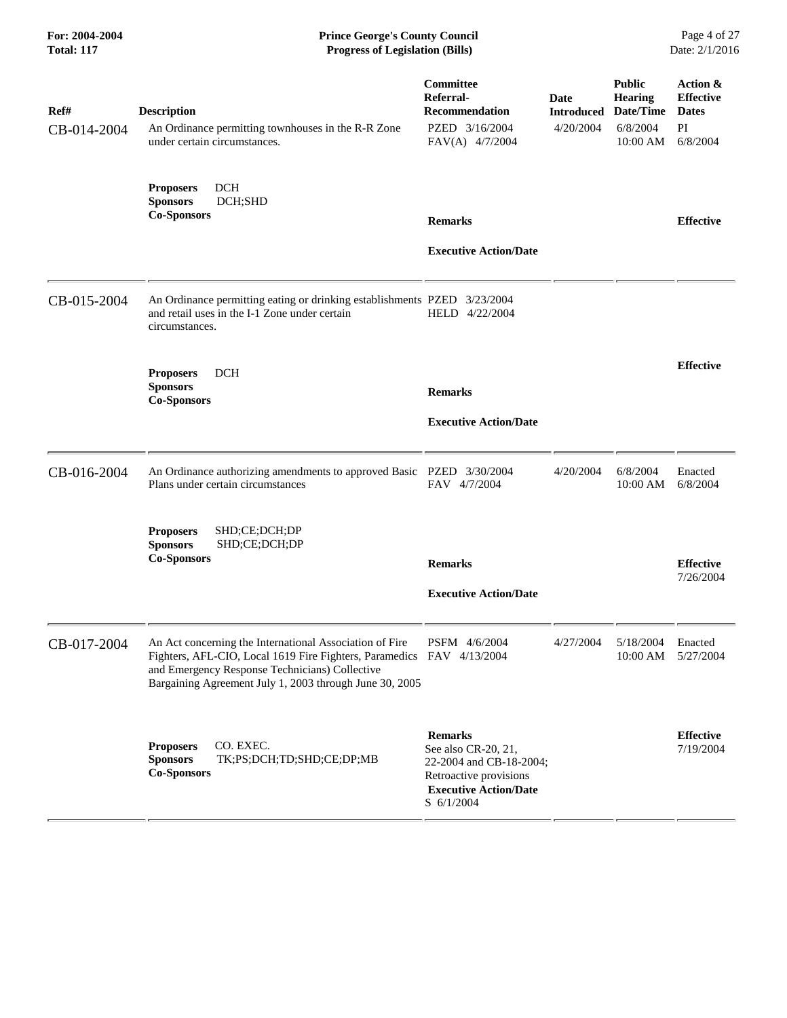| Ref#<br>CB-014-2004 | <b>Description</b><br>An Ordinance permitting townhouses in the R-R Zone<br>under certain circumstances.                                                                                                                                      | Committee<br>Referral-<br><b>Recommendation</b><br>PZED 3/16/2004<br>FAV(A) 4/7/2004                                                       | <b>Date</b><br><b>Introduced</b><br>4/20/2004 | <b>Public</b><br><b>Hearing</b><br>Date/Time<br>6/8/2004<br>$10:00$ AM | Action &<br><b>Effective</b><br><b>Dates</b><br>PI<br>6/8/2004 |
|---------------------|-----------------------------------------------------------------------------------------------------------------------------------------------------------------------------------------------------------------------------------------------|--------------------------------------------------------------------------------------------------------------------------------------------|-----------------------------------------------|------------------------------------------------------------------------|----------------------------------------------------------------|
|                     | <b>DCH</b><br><b>Proposers</b><br><b>Sponsors</b><br>DCH;SHD<br><b>Co-Sponsors</b>                                                                                                                                                            | <b>Remarks</b>                                                                                                                             |                                               |                                                                        | <b>Effective</b>                                               |
|                     |                                                                                                                                                                                                                                               | <b>Executive Action/Date</b>                                                                                                               |                                               |                                                                        |                                                                |
| CB-015-2004         | An Ordinance permitting eating or drinking establishments PZED 3/23/2004<br>and retail uses in the I-1 Zone under certain<br>circumstances.                                                                                                   | HELD 4/22/2004                                                                                                                             |                                               |                                                                        |                                                                |
|                     | <b>DCH</b><br><b>Proposers</b><br><b>Sponsors</b><br><b>Co-Sponsors</b>                                                                                                                                                                       | <b>Remarks</b>                                                                                                                             |                                               |                                                                        | <b>Effective</b>                                               |
|                     |                                                                                                                                                                                                                                               | <b>Executive Action/Date</b>                                                                                                               |                                               |                                                                        |                                                                |
| CB-016-2004         | An Ordinance authorizing amendments to approved Basic PZED 3/30/2004<br>Plans under certain circumstances                                                                                                                                     | FAV 4/7/2004                                                                                                                               | 4/20/2004                                     | 6/8/2004<br>10:00 AM                                                   | Enacted<br>6/8/2004                                            |
|                     | SHD;CE;DCH;DP<br><b>Proposers</b><br>SHD;CE;DCH;DP<br><b>Sponsors</b><br><b>Co-Sponsors</b>                                                                                                                                                   | <b>Remarks</b>                                                                                                                             |                                               |                                                                        | <b>Effective</b>                                               |
|                     |                                                                                                                                                                                                                                               | <b>Executive Action/Date</b>                                                                                                               |                                               |                                                                        | 7/26/2004                                                      |
| CB-017-2004         | An Act concerning the International Association of Fire<br>Fighters, AFL-CIO, Local 1619 Fire Fighters, Paramedics FAV 4/13/2004<br>and Emergency Response Technicians) Collective<br>Bargaining Agreement July 1, 2003 through June 30, 2005 | PSFM 4/6/2004                                                                                                                              | 4/27/2004                                     | 5/18/2004<br>10:00 AM 5/27/2004                                        | Enacted                                                        |
|                     | CO. EXEC.<br><b>Proposers</b><br>TK;PS;DCH;TD;SHD;CE;DP;MB<br><b>Sponsors</b><br><b>Co-Sponsors</b>                                                                                                                                           | <b>Remarks</b><br>See also CR-20, 21,<br>22-2004 and CB-18-2004;<br>Retroactive provisions<br><b>Executive Action/Date</b><br>$S$ 6/1/2004 |                                               |                                                                        | <b>Effective</b><br>7/19/2004                                  |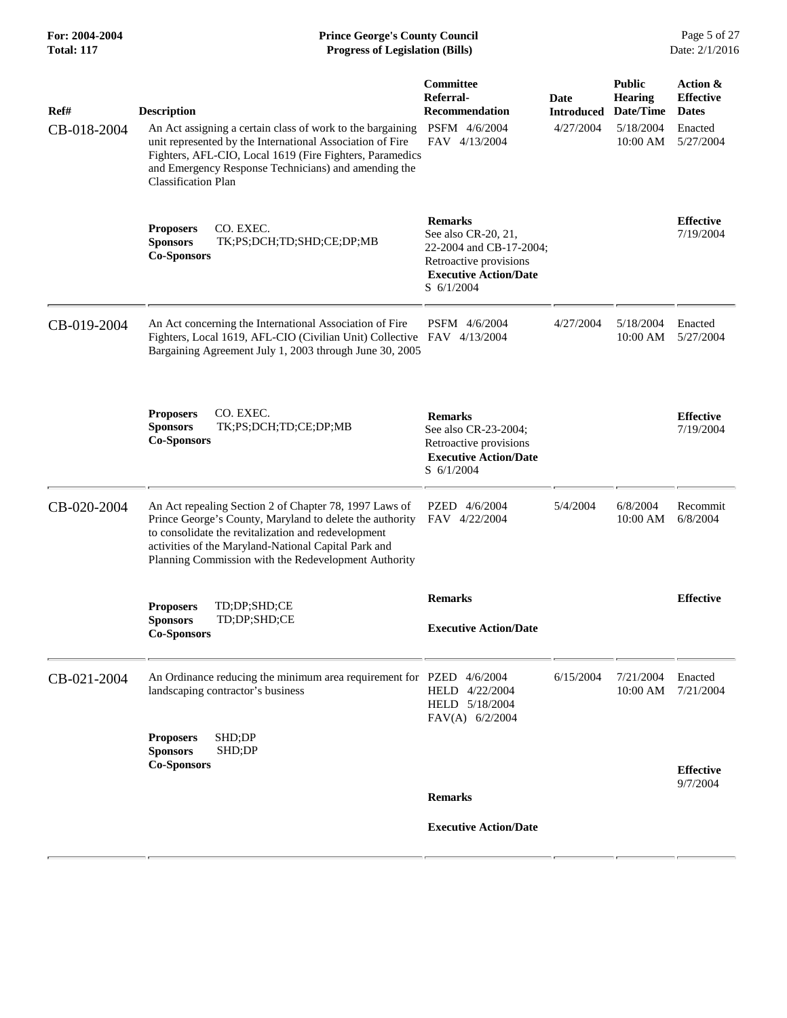| Ref#<br>CB-018-2004 | <b>Description</b><br>An Act assigning a certain class of work to the bargaining<br>unit represented by the International Association of Fire<br>Fighters, AFL-CIO, Local 1619 (Fire Fighters, Paramedics<br>and Emergency Response Technicians) and amending the<br><b>Classification Plan</b> | Committee<br>Referral-<br><b>Recommendation</b><br>PSFM 4/6/2004<br>FAV 4/13/2004                                                        | Date<br><b>Introduced</b><br>4/27/2004 | <b>Public</b><br><b>Hearing</b><br>Date/Time<br>5/18/2004<br>10:00 AM | Action &<br><b>Effective</b><br><b>Dates</b><br>Enacted<br>5/27/2004 |
|---------------------|-------------------------------------------------------------------------------------------------------------------------------------------------------------------------------------------------------------------------------------------------------------------------------------------------|------------------------------------------------------------------------------------------------------------------------------------------|----------------------------------------|-----------------------------------------------------------------------|----------------------------------------------------------------------|
|                     | <b>Proposers</b><br>CO. EXEC.<br><b>Sponsors</b><br>TK;PS;DCH;TD;SHD;CE;DP;MB<br><b>Co-Sponsors</b>                                                                                                                                                                                             | <b>Remarks</b><br>See also CR-20, 21,<br>22-2004 and CB-17-2004;<br>Retroactive provisions<br><b>Executive Action/Date</b><br>S 6/1/2004 |                                        |                                                                       | <b>Effective</b><br>7/19/2004                                        |
| CB-019-2004         | An Act concerning the International Association of Fire<br>Fighters, Local 1619, AFL-CIO (Civilian Unit) Collective FAV 4/13/2004<br>Bargaining Agreement July 1, 2003 through June 30, 2005                                                                                                    | PSFM 4/6/2004                                                                                                                            | 4/27/2004                              | 5/18/2004<br>$10:00$ AM                                               | Enacted<br>5/27/2004                                                 |
|                     | <b>Proposers</b><br>CO. EXEC.<br><b>Sponsors</b><br>TK;PS;DCH;TD;CE;DP;MB<br><b>Co-Sponsors</b>                                                                                                                                                                                                 | <b>Remarks</b><br>See also CR-23-2004;<br>Retroactive provisions<br><b>Executive Action/Date</b><br>$S \frac{6}{1/2004}$                 |                                        |                                                                       | <b>Effective</b><br>7/19/2004                                        |
| CB-020-2004         | An Act repealing Section 2 of Chapter 78, 1997 Laws of<br>Prince George's County, Maryland to delete the authority<br>to consolidate the revitalization and redevelopment<br>activities of the Maryland-National Capital Park and<br>Planning Commission with the Redevelopment Authority       | PZED 4/6/2004<br>FAV 4/22/2004                                                                                                           | 5/4/2004                               | 6/8/2004<br>10:00 AM                                                  | Recommit<br>6/8/2004                                                 |
|                     | <b>Proposers</b><br>TD;DP;SHD;CE<br><b>Sponsors</b><br>TD;DP;SHD;CE<br><b>Co-Sponsors</b>                                                                                                                                                                                                       | <b>Remarks</b><br><b>Executive Action/Date</b>                                                                                           |                                        |                                                                       | <b>Effective</b>                                                     |
| CB-021-2004         | An Ordinance reducing the minimum area requirement for PZED 4/6/2004<br>landscaping contractor's business                                                                                                                                                                                       | HELD 4/22/2004<br>HELD 5/18/2004<br>FAV(A) 6/2/2004                                                                                      | 6/15/2004                              | 7/21/2004<br>10:00 AM                                                 | Enacted<br>7/21/2004                                                 |
|                     | SHD;DP<br><b>Proposers</b><br>SHD;DP<br><b>Sponsors</b><br><b>Co-Sponsors</b>                                                                                                                                                                                                                   |                                                                                                                                          |                                        |                                                                       | <b>Effective</b><br>9/7/2004                                         |
|                     |                                                                                                                                                                                                                                                                                                 | <b>Remarks</b>                                                                                                                           |                                        |                                                                       |                                                                      |
|                     |                                                                                                                                                                                                                                                                                                 | <b>Executive Action/Date</b>                                                                                                             |                                        |                                                                       |                                                                      |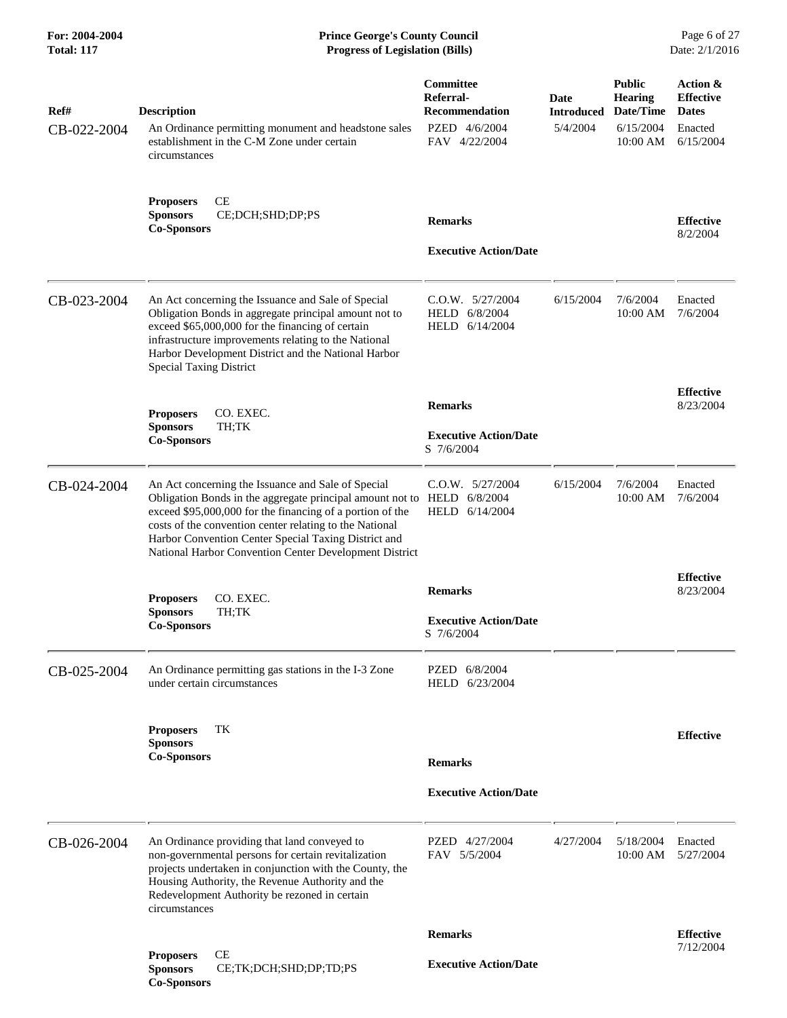| 5/4/2004                     | Date/Time<br><b>Introduced</b> | <b>Dates</b>                  |
|------------------------------|--------------------------------|-------------------------------|
|                              | 6/15/2004<br>10:00 AM          | Enacted<br>6/15/2004          |
| <b>Executive Action/Date</b> |                                | <b>Effective</b><br>8/2/2004  |
| 6/15/2004                    | 7/6/2004<br>10:00 AM           | Enacted<br>7/6/2004           |
| <b>Executive Action/Date</b> |                                | <b>Effective</b><br>8/23/2004 |
| 6/15/2004                    | 7/6/2004<br>10:00 AM           | Enacted<br>7/6/2004           |
| <b>Executive Action/Date</b> |                                | <b>Effective</b><br>8/23/2004 |
|                              |                                |                               |
| <b>Executive Action/Date</b> |                                | <b>Effective</b>              |
| 4/27/2004                    | 5/18/2004<br>10:00 AM          | Enacted<br>5/27/2004          |
| <b>Executive Action/Date</b> |                                | <b>Effective</b><br>7/12/2004 |
|                              |                                |                               |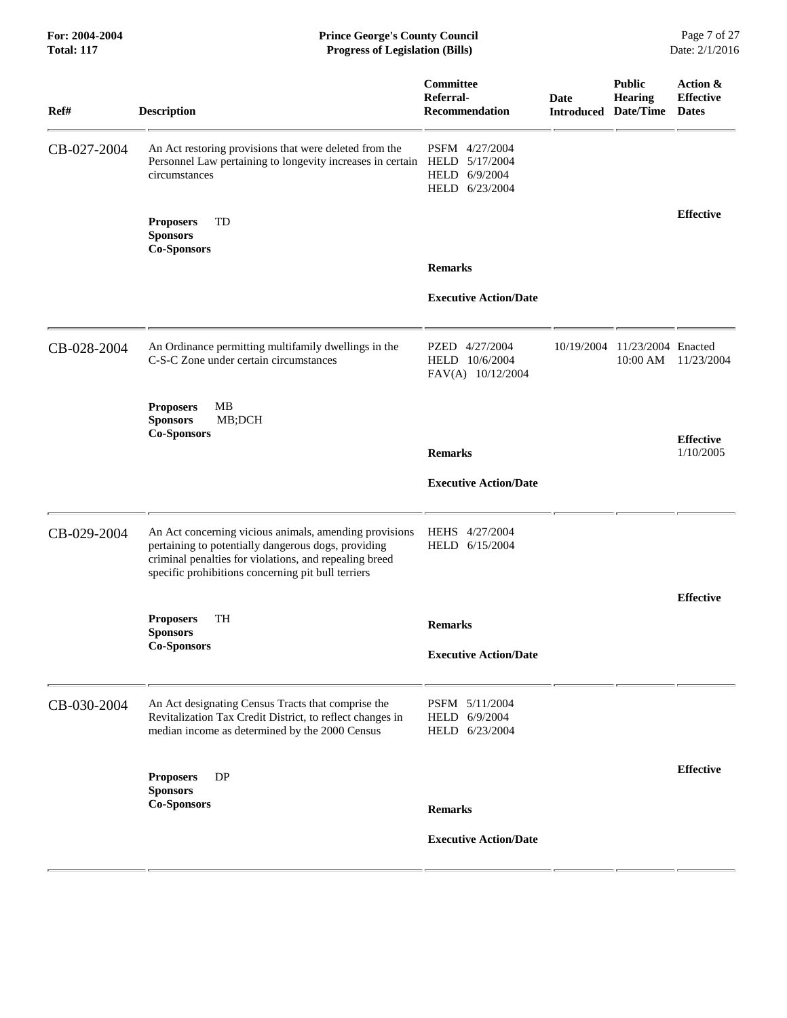#### **For: 2004-2004 Prince George's County Council** Page 7 of 27 **Total: 117 Progress of Legislation (Bills)** Date: 2/1/2016

| Ref#        | <b>Description</b>                                                                                                                                                                                                            | Committee<br>Referral-<br><b>Recommendation</b>       | Date       | <b>Public</b><br><b>Hearing</b><br><b>Introduced Date/Time Dates</b> | Action &<br><b>Effective</b> |
|-------------|-------------------------------------------------------------------------------------------------------------------------------------------------------------------------------------------------------------------------------|-------------------------------------------------------|------------|----------------------------------------------------------------------|------------------------------|
| CB-027-2004 | An Act restoring provisions that were deleted from the<br>Personnel Law pertaining to longevity increases in certain HELD 5/17/2004<br>circumstances                                                                          | PSFM 4/27/2004<br>HELD 6/9/2004<br>HELD 6/23/2004     |            |                                                                      |                              |
|             | <b>Proposers</b><br>TD<br><b>Sponsors</b><br><b>Co-Sponsors</b>                                                                                                                                                               |                                                       |            |                                                                      | <b>Effective</b>             |
|             |                                                                                                                                                                                                                               | <b>Remarks</b>                                        |            |                                                                      |                              |
|             |                                                                                                                                                                                                                               | <b>Executive Action/Date</b>                          |            |                                                                      |                              |
| CB-028-2004 | An Ordinance permitting multifamily dwellings in the<br>C-S-C Zone under certain circumstances                                                                                                                                | PZED 4/27/2004<br>HELD 10/6/2004<br>FAV(A) 10/12/2004 | 10/19/2004 | 11/23/2004 Enacted<br>10:00 AM                                       | 11/23/2004                   |
|             | <b>Proposers</b><br>MВ<br><b>Sponsors</b><br>MB;DCH<br><b>Co-Sponsors</b>                                                                                                                                                     |                                                       |            |                                                                      | <b>Effective</b>             |
|             |                                                                                                                                                                                                                               | <b>Remarks</b>                                        |            |                                                                      | 1/10/2005                    |
|             |                                                                                                                                                                                                                               | <b>Executive Action/Date</b>                          |            |                                                                      |                              |
| CB-029-2004 | An Act concerning vicious animals, amending provisions<br>pertaining to potentially dangerous dogs, providing<br>criminal penalties for violations, and repealing breed<br>specific prohibitions concerning pit bull terriers | HEHS 4/27/2004<br>HELD 6/15/2004                      |            |                                                                      |                              |
|             |                                                                                                                                                                                                                               |                                                       |            |                                                                      | <b>Effective</b>             |
|             | TH<br><b>Proposers</b><br><b>Sponsors</b>                                                                                                                                                                                     | <b>Remarks</b>                                        |            |                                                                      |                              |
|             | <b>Co-Sponsors</b>                                                                                                                                                                                                            | <b>Executive Action/Date</b>                          |            |                                                                      |                              |
| CB-030-2004 | An Act designating Census Tracts that comprise the<br>Revitalization Tax Credit District, to reflect changes in<br>median income as determined by the 2000 Census                                                             | PSFM 5/11/2004<br>HELD 6/9/2004<br>HELD 6/23/2004     |            |                                                                      |                              |
|             | DP<br><b>Proposers</b><br><b>Sponsors</b>                                                                                                                                                                                     |                                                       |            |                                                                      | <b>Effective</b>             |
|             | <b>Co-Sponsors</b>                                                                                                                                                                                                            | <b>Remarks</b>                                        |            |                                                                      |                              |
|             |                                                                                                                                                                                                                               | <b>Executive Action/Date</b>                          |            |                                                                      |                              |
|             |                                                                                                                                                                                                                               |                                                       |            |                                                                      |                              |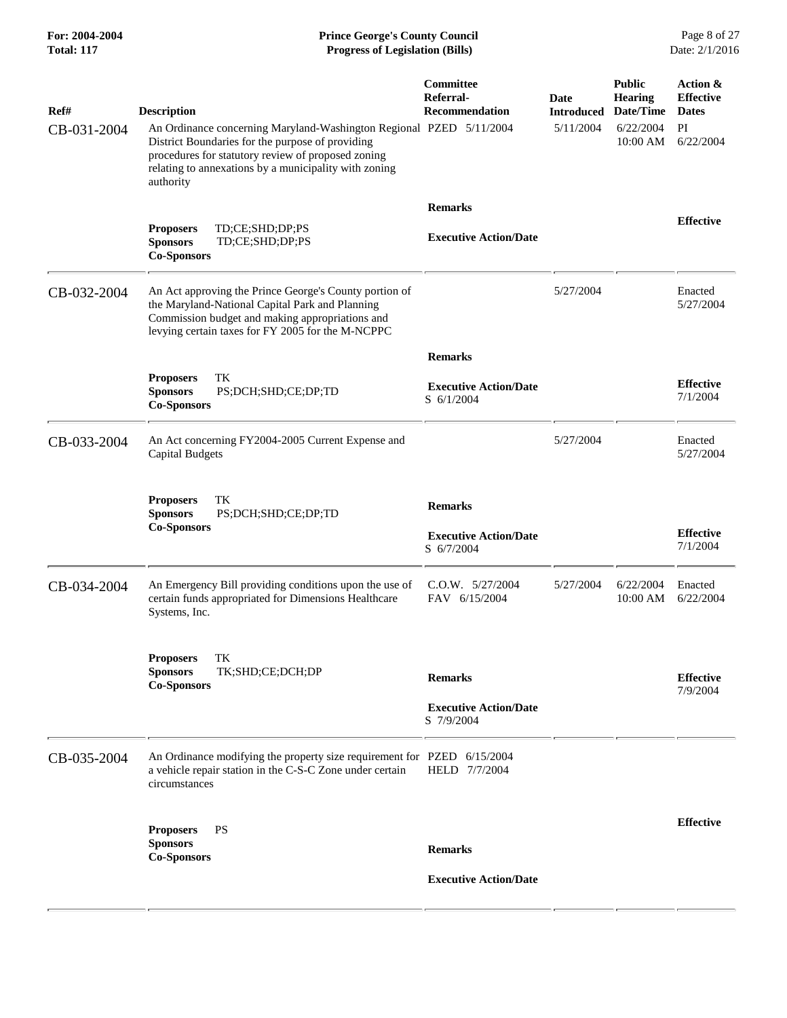| Ref#<br>CB-031-2004 | <b>Description</b><br>An Ordinance concerning Maryland-Washington Regional PZED 5/11/2004<br>District Boundaries for the purpose of providing<br>procedures for statutory review of proposed zoning<br>relating to annexations by a municipality with zoning<br>authority | Committee<br>Referral-<br><b>Recommendation</b>              | <b>Date</b><br><b>Introduced</b><br>5/11/2004 | <b>Public</b><br><b>Hearing</b><br>Date/Time<br>6/22/2004<br>10:00 AM | Action &<br><b>Effective</b><br><b>Dates</b><br>PI<br>6/22/2004 |
|---------------------|---------------------------------------------------------------------------------------------------------------------------------------------------------------------------------------------------------------------------------------------------------------------------|--------------------------------------------------------------|-----------------------------------------------|-----------------------------------------------------------------------|-----------------------------------------------------------------|
|                     | TD;CE;SHD;DP;PS<br><b>Proposers</b><br>TD;CE;SHD;DP;PS<br><b>Sponsors</b><br><b>Co-Sponsors</b>                                                                                                                                                                           | <b>Remarks</b><br><b>Executive Action/Date</b>               |                                               |                                                                       | <b>Effective</b>                                                |
| CB-032-2004         | An Act approving the Prince George's County portion of<br>the Maryland-National Capital Park and Planning<br>Commission budget and making appropriations and<br>levying certain taxes for FY 2005 for the M-NCPPC                                                         |                                                              | 5/27/2004                                     |                                                                       | Enacted<br>5/27/2004                                            |
|                     | TK<br><b>Proposers</b><br><b>Sponsors</b><br>PS;DCH;SHD;CE;DP;TD<br><b>Co-Sponsors</b>                                                                                                                                                                                    | <b>Remarks</b><br><b>Executive Action/Date</b><br>S 6/1/2004 |                                               |                                                                       | <b>Effective</b><br>7/1/2004                                    |
| CB-033-2004         | An Act concerning FY2004-2005 Current Expense and<br><b>Capital Budgets</b>                                                                                                                                                                                               |                                                              | 5/27/2004                                     |                                                                       | Enacted<br>5/27/2004                                            |
|                     | TK<br><b>Proposers</b><br><b>Sponsors</b><br>PS;DCH;SHD;CE;DP;TD<br><b>Co-Sponsors</b>                                                                                                                                                                                    | <b>Remarks</b><br><b>Executive Action/Date</b><br>S 6/7/2004 |                                               |                                                                       | <b>Effective</b><br>7/1/2004                                    |
| CB-034-2004         | An Emergency Bill providing conditions upon the use of<br>certain funds appropriated for Dimensions Healthcare<br>Systems, Inc.                                                                                                                                           | $C.0.W.$ $5/27/2004$<br>FAV 6/15/2004                        | 5/27/2004                                     | 6/22/2004<br>10:00 AM                                                 | Enacted<br>6/22/2004                                            |
|                     | TK<br><b>Proposers</b><br><b>Sponsors</b><br>TK;SHD;CE;DCH;DP<br><b>Co-Sponsors</b>                                                                                                                                                                                       | <b>Remarks</b><br><b>Executive Action/Date</b><br>S 7/9/2004 |                                               |                                                                       | <b>Effective</b><br>7/9/2004                                    |
| CB-035-2004         | An Ordinance modifying the property size requirement for PZED 6/15/2004<br>a vehicle repair station in the C-S-C Zone under certain<br>circumstances                                                                                                                      | HELD 7/7/2004                                                |                                               |                                                                       |                                                                 |
|                     | <b>PS</b><br><b>Proposers</b><br><b>Sponsors</b><br><b>Co-Sponsors</b>                                                                                                                                                                                                    | <b>Remarks</b><br><b>Executive Action/Date</b>               |                                               |                                                                       | <b>Effective</b>                                                |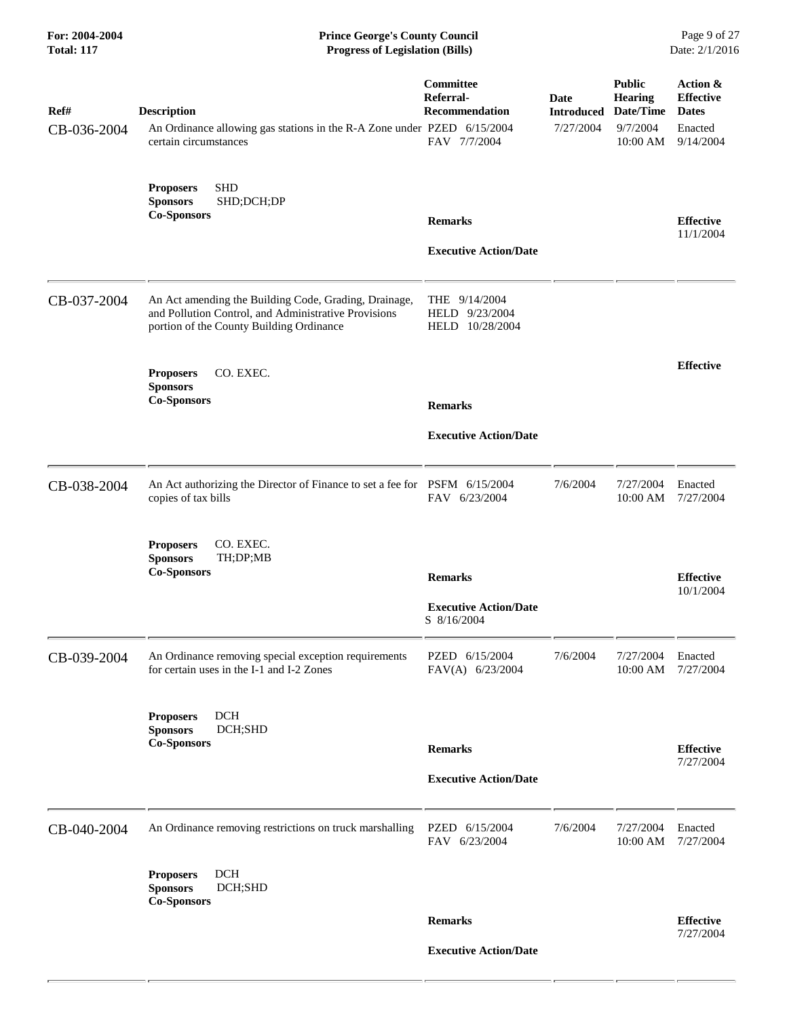| For: 2004-2004<br><b>Total: 117</b> | <b>Prince George's County Council</b><br><b>Progress of Legislation (Bills)</b>                                                                           |                                                                 |                                               |                                                                      | Page 9 of 27<br>Date: 2/1/2016                                       |
|-------------------------------------|-----------------------------------------------------------------------------------------------------------------------------------------------------------|-----------------------------------------------------------------|-----------------------------------------------|----------------------------------------------------------------------|----------------------------------------------------------------------|
| Ref#<br>CB-036-2004                 | <b>Description</b><br>An Ordinance allowing gas stations in the R-A Zone under PZED 6/15/2004<br>certain circumstances                                    | Committee<br>Referral-<br><b>Recommendation</b><br>FAV 7/7/2004 | <b>Date</b><br><b>Introduced</b><br>7/27/2004 | <b>Public</b><br><b>Hearing</b><br>Date/Time<br>9/7/2004<br>10:00 AM | Action &<br><b>Effective</b><br><b>Dates</b><br>Enacted<br>9/14/2004 |
|                                     | <b>SHD</b><br><b>Proposers</b><br><b>Sponsors</b><br>SHD;DCH;DP<br><b>Co-Sponsors</b>                                                                     | <b>Remarks</b><br><b>Executive Action/Date</b>                  |                                               |                                                                      | <b>Effective</b><br>11/1/2004                                        |
| CB-037-2004                         | An Act amending the Building Code, Grading, Drainage,<br>and Pollution Control, and Administrative Provisions<br>portion of the County Building Ordinance | THE $9/14/2004$<br>HELD 9/23/2004<br>HELD 10/28/2004            |                                               |                                                                      |                                                                      |
|                                     | CO. EXEC.<br><b>Proposers</b><br><b>Sponsors</b>                                                                                                          |                                                                 |                                               |                                                                      | <b>Effective</b>                                                     |
|                                     | <b>Co-Sponsors</b>                                                                                                                                        | <b>Remarks</b><br><b>Executive Action/Date</b>                  |                                               |                                                                      |                                                                      |
| CB-038-2004                         | An Act authorizing the Director of Finance to set a fee for PSFM 6/15/2004<br>copies of tax bills                                                         | FAV 6/23/2004                                                   | 7/6/2004                                      | 7/27/2004<br>10:00 AM                                                | Enacted<br>7/27/2004                                                 |
|                                     | CO. EXEC.<br><b>Proposers</b><br><b>Sponsors</b><br>TH;DP;MB<br><b>Co-Sponsors</b>                                                                        | <b>Remarks</b><br><b>Executive Action/Date</b>                  |                                               |                                                                      | <b>Effective</b><br>10/1/2004                                        |
| CB-039-2004                         | An Ordinance removing special exception requirements<br>for certain uses in the I-1 and I-2 Zones                                                         | S 8/16/2004<br>PZED 6/15/2004<br>FAV(A) 6/23/2004               | 7/6/2004                                      | 7/27/2004<br>10:00 AM                                                | Enacted<br>7/27/2004                                                 |
|                                     | <b>DCH</b><br><b>Proposers</b><br><b>Sponsors</b><br>DCH;SHD<br><b>Co-Sponsors</b>                                                                        | <b>Remarks</b><br><b>Executive Action/Date</b>                  |                                               |                                                                      | <b>Effective</b><br>7/27/2004                                        |
| CB-040-2004                         | An Ordinance removing restrictions on truck marshalling                                                                                                   | PZED 6/15/2004<br>FAV 6/23/2004                                 | 7/6/2004                                      | 7/27/2004<br>10:00 AM                                                | Enacted<br>7/27/2004                                                 |
|                                     | <b>DCH</b><br><b>Proposers</b><br><b>Sponsors</b><br>DCH;SHD<br><b>Co-Sponsors</b>                                                                        |                                                                 |                                               |                                                                      |                                                                      |
|                                     |                                                                                                                                                           | <b>Remarks</b>                                                  |                                               |                                                                      | <b>Effective</b><br>7/27/2004                                        |
|                                     |                                                                                                                                                           | <b>Executive Action/Date</b>                                    |                                               |                                                                      |                                                                      |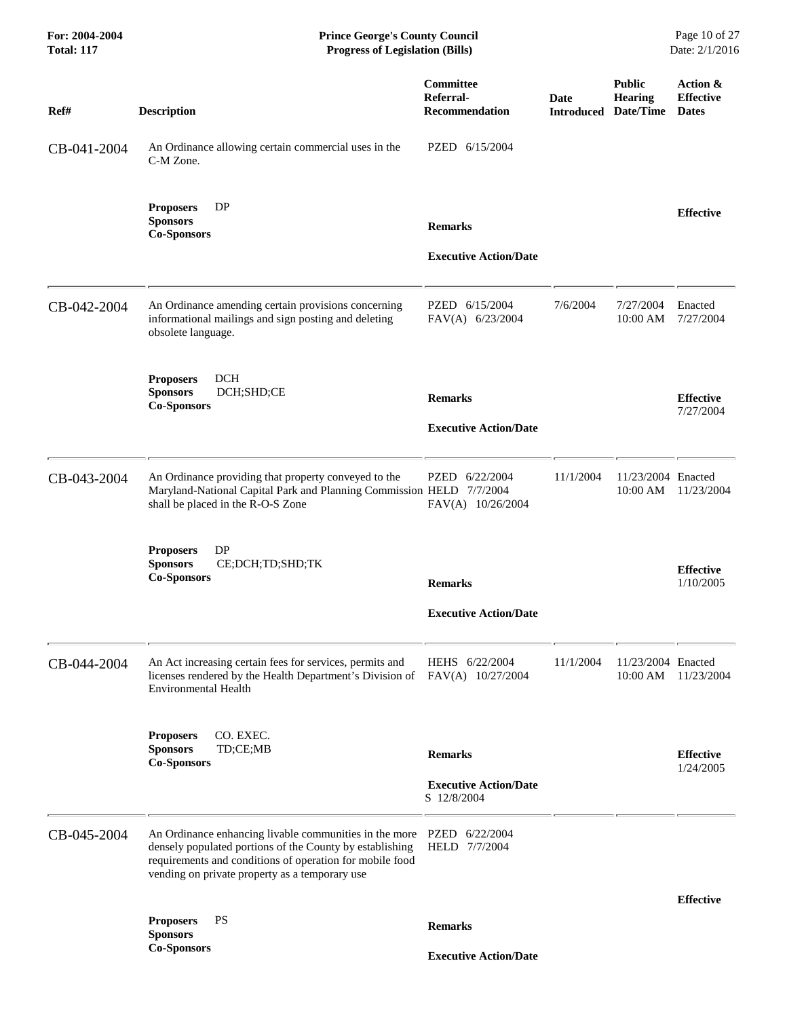| For: 2004-2004<br><b>Total: 117</b> | <b>Prince George's County Council</b><br><b>Progress of Legislation (Bills)</b>                                                                                                                                                                 |                                                               |             |                                                                | Page 10 of 27<br>Date: 2/1/2016              |
|-------------------------------------|-------------------------------------------------------------------------------------------------------------------------------------------------------------------------------------------------------------------------------------------------|---------------------------------------------------------------|-------------|----------------------------------------------------------------|----------------------------------------------|
| Ref#                                | <b>Description</b>                                                                                                                                                                                                                              | Committee<br>Referral-<br><b>Recommendation</b>               | <b>Date</b> | <b>Public</b><br><b>Hearing</b><br><b>Introduced Date/Time</b> | Action &<br><b>Effective</b><br><b>Dates</b> |
| CB-041-2004                         | An Ordinance allowing certain commercial uses in the<br>C-M Zone.                                                                                                                                                                               | PZED 6/15/2004                                                |             |                                                                |                                              |
|                                     | DP<br><b>Proposers</b><br><b>Sponsors</b><br><b>Co-Sponsors</b>                                                                                                                                                                                 | <b>Remarks</b><br><b>Executive Action/Date</b>                |             |                                                                | <b>Effective</b>                             |
| CB-042-2004                         | An Ordinance amending certain provisions concerning<br>informational mailings and sign posting and deleting<br>obsolete language.                                                                                                               | PZED 6/15/2004<br>FAV(A) 6/23/2004                            | 7/6/2004    | 7/27/2004<br>10:00 AM                                          | Enacted<br>7/27/2004                         |
|                                     | <b>DCH</b><br><b>Proposers</b><br>DCH;SHD;CE<br><b>Sponsors</b><br><b>Co-Sponsors</b>                                                                                                                                                           | <b>Remarks</b><br><b>Executive Action/Date</b>                |             |                                                                | <b>Effective</b><br>7/27/2004                |
| CB-043-2004                         | An Ordinance providing that property conveyed to the<br>Maryland-National Capital Park and Planning Commission HELD 7/7/2004<br>shall be placed in the R-O-S Zone                                                                               | PZED 6/22/2004<br>FAV(A) 10/26/2004                           | 11/1/2004   | 11/23/2004 Enacted<br>10:00 AM                                 | 11/23/2004                                   |
|                                     | DP<br><b>Proposers</b><br><b>Sponsors</b><br>CE;DCH;TD;SHD;TK<br><b>Co-Sponsors</b>                                                                                                                                                             | <b>Remarks</b><br><b>Executive Action/Date</b>                |             |                                                                | <b>Effective</b><br>1/10/2005                |
| CB-044-2004                         | An Act increasing certain fees for services, permits and<br>licenses rendered by the Health Department's Division of<br><b>Environmental Health</b>                                                                                             | HEHS 6/22/2004<br>FAV(A) 10/27/2004                           | 11/1/2004   | 11/23/2004 Enacted<br>10:00 AM                                 | 11/23/2004                                   |
|                                     | CO. EXEC.<br><b>Proposers</b><br><b>Sponsors</b><br>TD;CE;MB<br><b>Co-Sponsors</b>                                                                                                                                                              | <b>Remarks</b><br><b>Executive Action/Date</b><br>S 12/8/2004 |             |                                                                | <b>Effective</b><br>1/24/2005                |
| CB-045-2004                         | An Ordinance enhancing livable communities in the more PZED 6/22/2004<br>densely populated portions of the County by establishing<br>requirements and conditions of operation for mobile food<br>vending on private property as a temporary use | HELD 7/7/2004                                                 |             |                                                                |                                              |
|                                     |                                                                                                                                                                                                                                                 |                                                               |             |                                                                | <b>Effective</b>                             |
|                                     | <b>PS</b><br><b>Proposers</b><br><b>Sponsors</b>                                                                                                                                                                                                | <b>Remarks</b>                                                |             |                                                                |                                              |
|                                     | <b>Co-Sponsors</b>                                                                                                                                                                                                                              | <b>Executive Action/Date</b>                                  |             |                                                                |                                              |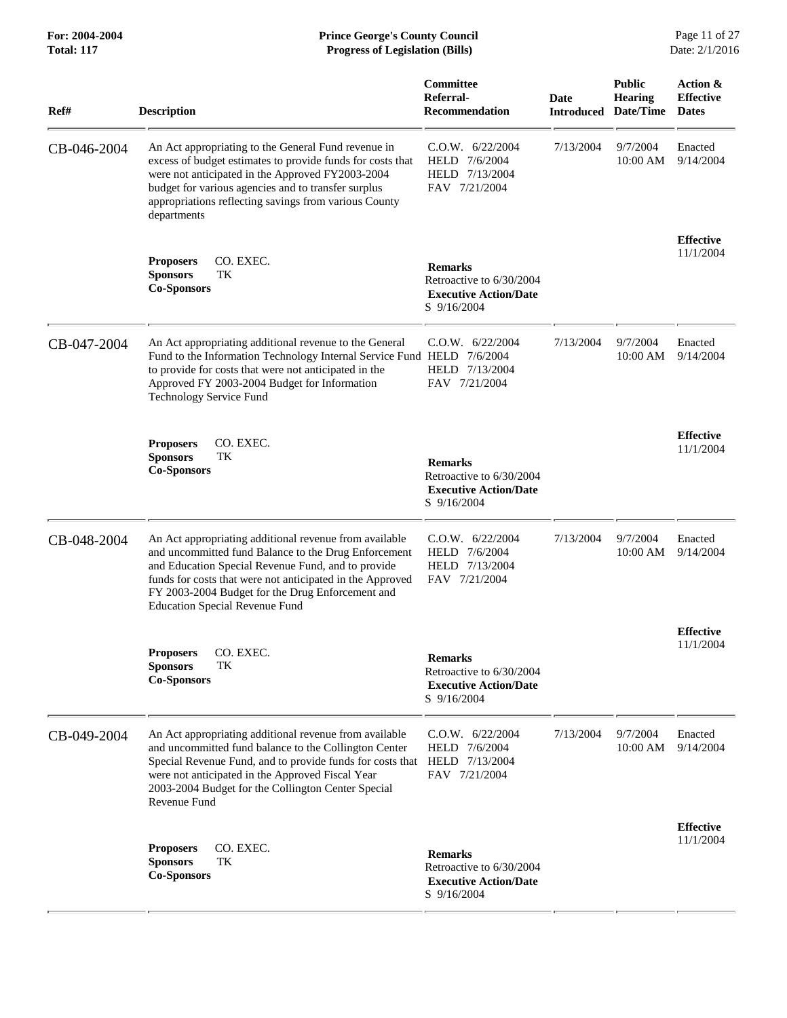| Ref#        | <b>Description</b>                                                                                                                                                                                                                                                                                                             | Committee<br>Referral-<br><b>Recommendation</b>                                           | <b>Date</b><br><b>Introduced</b> | <b>Public</b><br><b>Hearing</b><br>Date/Time | Action &<br><b>Effective</b><br><b>Dates</b> |
|-------------|--------------------------------------------------------------------------------------------------------------------------------------------------------------------------------------------------------------------------------------------------------------------------------------------------------------------------------|-------------------------------------------------------------------------------------------|----------------------------------|----------------------------------------------|----------------------------------------------|
| CB-046-2004 | An Act appropriating to the General Fund revenue in<br>excess of budget estimates to provide funds for costs that<br>were not anticipated in the Approved FY2003-2004<br>budget for various agencies and to transfer surplus<br>appropriations reflecting savings from various County<br>departments                           | C.0.W. 6/22/2004<br>HELD 7/6/2004<br>HELD 7/13/2004<br>FAV 7/21/2004                      | 7/13/2004                        | 9/7/2004<br>10:00 AM                         | Enacted<br>9/14/2004                         |
|             | CO. EXEC.<br><b>Proposers</b><br><b>Sponsors</b><br>TK<br><b>Co-Sponsors</b>                                                                                                                                                                                                                                                   | <b>Remarks</b><br>Retroactive to 6/30/2004<br><b>Executive Action/Date</b><br>S 9/16/2004 |                                  |                                              | <b>Effective</b><br>11/1/2004                |
| CB-047-2004 | An Act appropriating additional revenue to the General<br>Fund to the Information Technology Internal Service Fund HELD 7/6/2004<br>to provide for costs that were not anticipated in the<br>Approved FY 2003-2004 Budget for Information<br><b>Technology Service Fund</b>                                                    | C.0.W. 6/22/2004<br>HELD 7/13/2004<br>FAV 7/21/2004                                       | 7/13/2004                        | 9/7/2004<br>10:00 AM                         | Enacted<br>9/14/2004                         |
|             | CO. EXEC.<br><b>Proposers</b><br><b>Sponsors</b><br>TK<br><b>Co-Sponsors</b>                                                                                                                                                                                                                                                   | <b>Remarks</b><br>Retroactive to 6/30/2004<br><b>Executive Action/Date</b><br>S 9/16/2004 |                                  |                                              | <b>Effective</b><br>11/1/2004                |
| CB-048-2004 | An Act appropriating additional revenue from available<br>and uncommitted fund Balance to the Drug Enforcement<br>and Education Special Revenue Fund, and to provide<br>funds for costs that were not anticipated in the Approved<br>FY 2003-2004 Budget for the Drug Enforcement and<br><b>Education Special Revenue Fund</b> | $C.0.W.$ 6/22/2004<br>HELD 7/6/2004<br>HELD 7/13/2004<br>FAV 7/21/2004                    | 7/13/2004                        | 9/7/2004<br>10:00 AM                         | Enacted<br>9/14/2004                         |
|             | <b>Proposers</b><br>CO. EXEC.<br><b>Sponsors</b><br>TК<br><b>Co-Sponsors</b>                                                                                                                                                                                                                                                   | <b>Remarks</b><br>Retroactive to 6/30/2004<br><b>Executive Action/Date</b><br>S 9/16/2004 |                                  |                                              | <b>Effective</b><br>11/1/2004                |
| CB-049-2004 | An Act appropriating additional revenue from available<br>and uncommitted fund balance to the Collington Center<br>Special Revenue Fund, and to provide funds for costs that<br>were not anticipated in the Approved Fiscal Year<br>2003-2004 Budget for the Collington Center Special<br>Revenue Fund                         | $C.0.W.$ 6/22/2004<br>HELD 7/6/2004<br>HELD 7/13/2004<br>FAV 7/21/2004                    | 7/13/2004                        | 9/7/2004<br>10:00 AM                         | Enacted<br>9/14/2004                         |
|             | CO. EXEC.<br><b>Proposers</b><br><b>Sponsors</b><br>TK<br><b>Co-Sponsors</b>                                                                                                                                                                                                                                                   | <b>Remarks</b><br>Retroactive to 6/30/2004<br><b>Executive Action/Date</b><br>S 9/16/2004 |                                  |                                              | <b>Effective</b><br>11/1/2004                |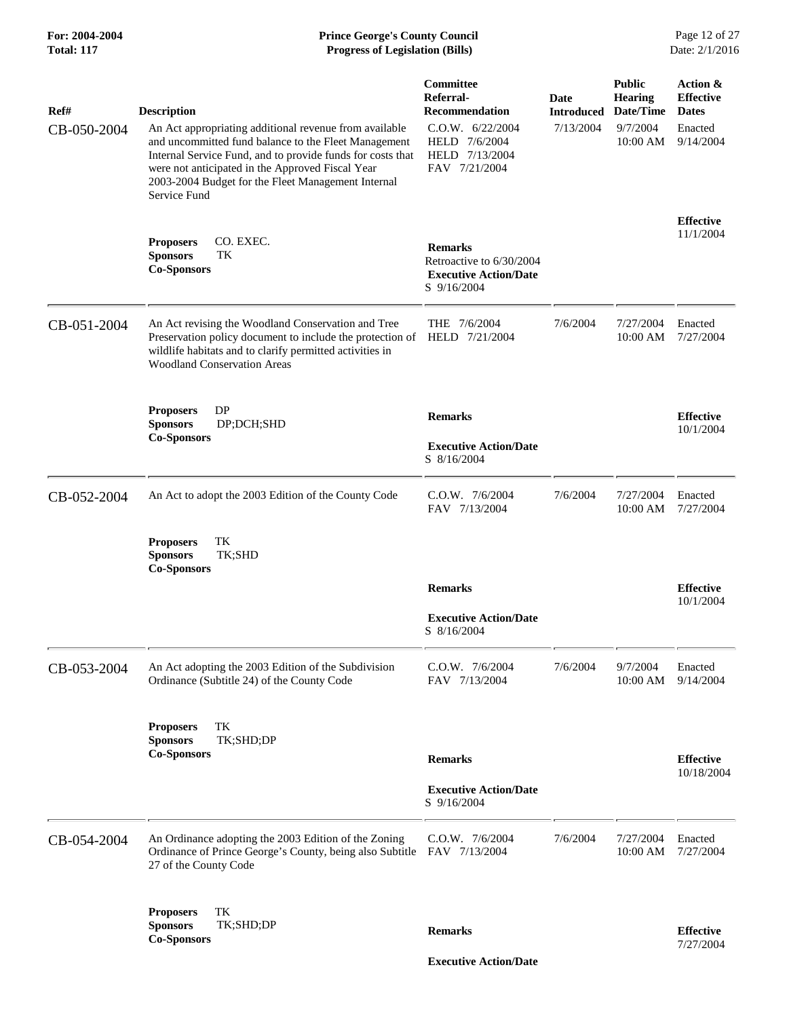### **For: 2004-2004 Prince George's County Council** Page 12 of 27<br> **Prince George's County Council** Page 12 of 27<br> **Progress of Legislation (Bills)** Date: 2/1/2016 **Total: 117 Progress of Legislation (Bills)**

| Ref#<br>CB-050-2004 | <b>Description</b><br>An Act appropriating additional revenue from available                                                                                                                                                                 | Committee<br>Referral-<br><b>Recommendation</b><br>C.0.W. 6/22/2004                         | Date<br><b>Introduced</b><br>7/13/2004 | <b>Public</b><br><b>Hearing</b><br>Date/Time<br>9/7/2004 | Action &<br><b>Effective</b><br><b>Dates</b><br>Enacted |
|---------------------|----------------------------------------------------------------------------------------------------------------------------------------------------------------------------------------------------------------------------------------------|---------------------------------------------------------------------------------------------|----------------------------------------|----------------------------------------------------------|---------------------------------------------------------|
|                     | and uncommitted fund balance to the Fleet Management<br>Internal Service Fund, and to provide funds for costs that<br>were not anticipated in the Approved Fiscal Year<br>2003-2004 Budget for the Fleet Management Internal<br>Service Fund | HELD 7/6/2004<br>HELD 7/13/2004<br>FAV 7/21/2004                                            |                                        | 10:00 AM                                                 | 9/14/2004                                               |
|                     | CO. EXEC.<br><b>Proposers</b><br><b>Sponsors</b><br>TК<br><b>Co-Sponsors</b>                                                                                                                                                                 | <b>Remarks</b><br>Retroactive to 6/30/2004<br><b>Executive Action/Date</b><br>$S$ 9/16/2004 |                                        |                                                          | <b>Effective</b><br>11/1/2004                           |
| CB-051-2004         | An Act revising the Woodland Conservation and Tree<br>Preservation policy document to include the protection of<br>wildlife habitats and to clarify permitted activities in<br><b>Woodland Conservation Areas</b>                            | THE 7/6/2004<br>HELD 7/21/2004                                                              | 7/6/2004                               | 7/27/2004<br>10:00 AM                                    | Enacted<br>7/27/2004                                    |
|                     | <b>Proposers</b><br>DP<br><b>Sponsors</b><br>DP;DCH;SHD<br><b>Co-Sponsors</b>                                                                                                                                                                | <b>Remarks</b><br><b>Executive Action/Date</b>                                              |                                        |                                                          | <b>Effective</b><br>10/1/2004                           |
|                     |                                                                                                                                                                                                                                              | S 8/16/2004                                                                                 |                                        |                                                          |                                                         |
| CB-052-2004         | An Act to adopt the 2003 Edition of the County Code                                                                                                                                                                                          | C.O.W. 7/6/2004<br>FAV 7/13/2004                                                            | 7/6/2004                               | 7/27/2004<br>10:00 AM                                    | Enacted<br>7/27/2004                                    |
|                     | TK<br><b>Proposers</b><br>TK;SHD<br><b>Sponsors</b><br><b>Co-Sponsors</b>                                                                                                                                                                    |                                                                                             |                                        |                                                          |                                                         |
|                     |                                                                                                                                                                                                                                              | <b>Remarks</b>                                                                              |                                        |                                                          | <b>Effective</b><br>10/1/2004                           |
|                     |                                                                                                                                                                                                                                              | <b>Executive Action/Date</b><br>S 8/16/2004                                                 |                                        |                                                          |                                                         |
| CB-053-2004         | An Act adopting the 2003 Edition of the Subdivision<br>Ordinance (Subtitle 24) of the County Code                                                                                                                                            | C.O.W. 7/6/2004<br>FAV 7/13/2004                                                            | 7/6/2004                               | 9/7/2004<br>10:00 AM                                     | Enacted<br>9/14/2004                                    |
|                     | TK<br><b>Proposers</b>                                                                                                                                                                                                                       |                                                                                             |                                        |                                                          |                                                         |
|                     | TK;SHD;DP<br><b>Sponsors</b><br><b>Co-Sponsors</b>                                                                                                                                                                                           | <b>Remarks</b>                                                                              |                                        |                                                          | <b>Effective</b>                                        |
|                     |                                                                                                                                                                                                                                              |                                                                                             |                                        |                                                          | 10/18/2004                                              |
|                     |                                                                                                                                                                                                                                              | <b>Executive Action/Date</b><br>S 9/16/2004                                                 |                                        |                                                          |                                                         |
| CB-054-2004         | An Ordinance adopting the 2003 Edition of the Zoning<br>Ordinance of Prince George's County, being also Subtitle FAV 7/13/2004<br>27 of the County Code                                                                                      | C.O.W. 7/6/2004                                                                             | 7/6/2004                               | 7/27/2004<br>10:00 AM                                    | Enacted<br>7/27/2004                                    |
|                     | TK<br><b>Proposers</b><br>TK;SHD;DP<br><b>Sponsors</b><br><b>Co-Sponsors</b>                                                                                                                                                                 | <b>Remarks</b>                                                                              |                                        |                                                          | <b>Effective</b><br>7/27/2004                           |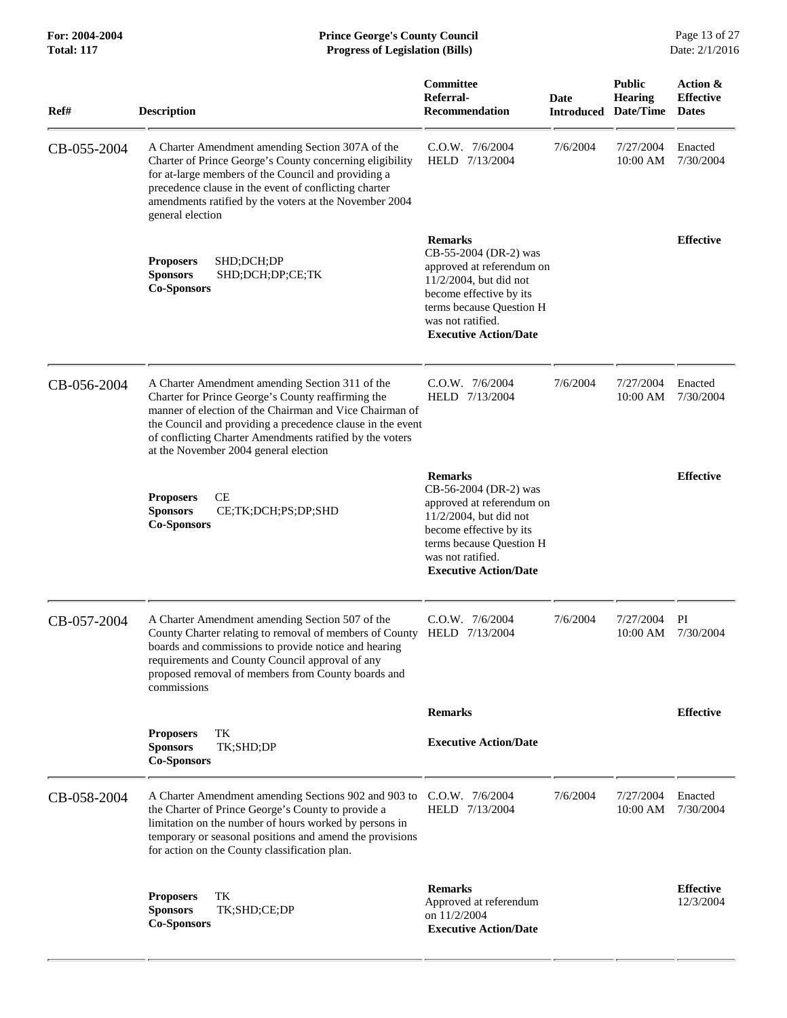| Ref#        | <b>Description</b>                                                                                                                                                                                                                                                                                                                  | Committee<br>Referral-<br><b>Recommendation</b>                                                                                                                                                               | Date<br><b>Introduced</b> | <b>Public</b><br><b>Hearing</b><br>Date/Time | Action &<br><b>Effective</b><br><b>Dates</b> |
|-------------|-------------------------------------------------------------------------------------------------------------------------------------------------------------------------------------------------------------------------------------------------------------------------------------------------------------------------------------|---------------------------------------------------------------------------------------------------------------------------------------------------------------------------------------------------------------|---------------------------|----------------------------------------------|----------------------------------------------|
| CB-055-2004 | A Charter Amendment amending Section 307A of the<br>Charter of Prince George's County concerning eligibility<br>for at-large members of the Council and providing a<br>precedence clause in the event of conflicting charter<br>amendments ratified by the voters at the November 2004<br>general election                          | $C.O.W.$ 7/6/2004<br>HELD 7/13/2004                                                                                                                                                                           | 7/6/2004                  | 7/27/2004<br>$10:00$ AM                      | Enacted<br>7/30/2004                         |
|             | SHD;DCH;DP<br><b>Proposers</b><br><b>Sponsors</b><br>SHD;DCH;DP;CE;TK<br><b>Co-Sponsors</b>                                                                                                                                                                                                                                         | <b>Remarks</b><br>CB-55-2004 (DR-2) was<br>approved at referendum on<br>$11/2/2004$ , but did not<br>become effective by its<br>terms because Question H<br>was not ratified.<br><b>Executive Action/Date</b> |                           |                                              | <b>Effective</b>                             |
| CB-056-2004 | A Charter Amendment amending Section 311 of the<br>Charter for Prince George's County reaffirming the<br>manner of election of the Chairman and Vice Chairman of<br>the Council and providing a precedence clause in the event<br>of conflicting Charter Amendments ratified by the voters<br>at the November 2004 general election | C.O.W. 7/6/2004<br>HELD 7/13/2004                                                                                                                                                                             | 7/6/2004                  | 7/27/2004<br>10:00 AM                        | Enacted<br>7/30/2004                         |
|             | <b>CE</b><br><b>Proposers</b><br><b>Sponsors</b><br>CE;TK;DCH;PS;DP;SHD<br><b>Co-Sponsors</b>                                                                                                                                                                                                                                       | <b>Remarks</b><br>CB-56-2004 (DR-2) was<br>approved at referendum on<br>11/2/2004, but did not<br>become effective by its<br>terms because Question H<br>was not ratified.<br><b>Executive Action/Date</b>    |                           |                                              | <b>Effective</b>                             |
| CB-057-2004 | A Charter Amendment amending Section 507 of the<br>County Charter relating to removal of members of County<br>boards and commissions to provide notice and hearing<br>requirements and County Council approval of any<br>proposed removal of members from County boards and<br>commissions                                          | $C.0.W.$ $7/6/2004$<br>HELD 7/13/2004                                                                                                                                                                         | 7/6/2004                  | 7/27/2004<br>$10:00$ AM                      | PI<br>7/30/2004                              |
|             |                                                                                                                                                                                                                                                                                                                                     | <b>Remarks</b>                                                                                                                                                                                                |                           |                                              | <b>Effective</b>                             |
|             | <b>Proposers</b><br>TК<br>TK;SHD;DP<br><b>Sponsors</b><br><b>Co-Sponsors</b>                                                                                                                                                                                                                                                        | <b>Executive Action/Date</b>                                                                                                                                                                                  |                           |                                              |                                              |
| CB-058-2004 | A Charter Amendment amending Sections 902 and 903 to<br>the Charter of Prince George's County to provide a<br>limitation on the number of hours worked by persons in<br>temporary or seasonal positions and amend the provisions<br>for action on the County classification plan.                                                   | $C.0.W.$ $7/6/2004$<br>HELD 7/13/2004                                                                                                                                                                         | 7/6/2004                  | 7/27/2004<br>10:00 AM                        | Enacted<br>7/30/2004                         |
|             | <b>Proposers</b><br>TК<br>TK;SHD;CE;DP<br><b>Sponsors</b><br><b>Co-Sponsors</b>                                                                                                                                                                                                                                                     | <b>Remarks</b><br>Approved at referendum<br>on 11/2/2004<br><b>Executive Action/Date</b>                                                                                                                      |                           |                                              | <b>Effective</b><br>12/3/2004                |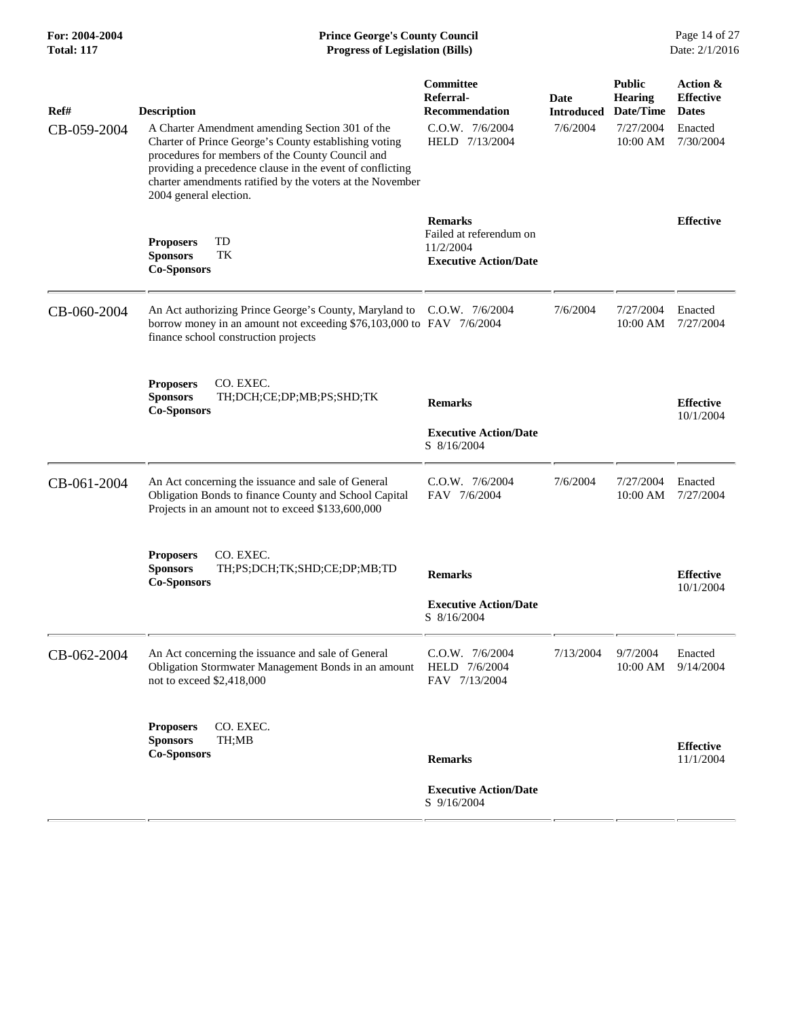### **For: 2004-2004 Prince George's County Council** Page 14 of 27<br> **Prince George's County Council** Page 14 of 27<br> **Progress of Legislation (Bills)** Date: 2/1/2016 **Total: 117 Progress of Legislation (Bills)**

| Ref#<br>CB-059-2004 | <b>Description</b><br>A Charter Amendment amending Section 301 of the<br>Charter of Prince George's County establishing voting<br>procedures for members of the County Council and<br>providing a precedence clause in the event of conflicting<br>charter amendments ratified by the voters at the November<br>2004 general election. | Committee<br>Referral-<br><b>Recommendation</b><br>C.O.W. 7/6/2004<br>HELD 7/13/2004   | Date<br><b>Introduced</b><br>7/6/2004 | <b>Public</b><br><b>Hearing</b><br>Date/Time<br>7/27/2004<br>10:00 AM | Action &<br><b>Effective</b><br><b>Dates</b><br>Enacted<br>7/30/2004 |
|---------------------|----------------------------------------------------------------------------------------------------------------------------------------------------------------------------------------------------------------------------------------------------------------------------------------------------------------------------------------|----------------------------------------------------------------------------------------|---------------------------------------|-----------------------------------------------------------------------|----------------------------------------------------------------------|
|                     | TD<br><b>Proposers</b><br><b>Sponsors</b><br>TK<br><b>Co-Sponsors</b>                                                                                                                                                                                                                                                                  | <b>Remarks</b><br>Failed at referendum on<br>11/2/2004<br><b>Executive Action/Date</b> |                                       |                                                                       | <b>Effective</b>                                                     |
| CB-060-2004         | An Act authorizing Prince George's County, Maryland to C.O.W. 7/6/2004<br>borrow money in an amount not exceeding \$76,103,000 to FAV 7/6/2004<br>finance school construction projects                                                                                                                                                 |                                                                                        | 7/6/2004                              | 7/27/2004<br>10:00 AM                                                 | Enacted<br>7/27/2004                                                 |
|                     | CO. EXEC.<br><b>Proposers</b><br><b>Sponsors</b><br>TH;DCH;CE;DP;MB;PS;SHD;TK<br><b>Co-Sponsors</b>                                                                                                                                                                                                                                    | <b>Remarks</b><br><b>Executive Action/Date</b><br>S 8/16/2004                          |                                       |                                                                       | <b>Effective</b><br>10/1/2004                                        |
| CB-061-2004         | An Act concerning the issuance and sale of General<br>Obligation Bonds to finance County and School Capital<br>Projects in an amount not to exceed \$133,600,000                                                                                                                                                                       | C.O.W. 7/6/2004<br>FAV 7/6/2004                                                        | 7/6/2004                              | 7/27/2004<br>10:00 AM                                                 | Enacted<br>7/27/2004                                                 |
|                     | CO. EXEC.<br><b>Proposers</b><br><b>Sponsors</b><br>TH;PS;DCH;TK;SHD;CE;DP;MB;TD<br><b>Co-Sponsors</b>                                                                                                                                                                                                                                 | <b>Remarks</b><br><b>Executive Action/Date</b><br>S 8/16/2004                          |                                       |                                                                       | <b>Effective</b><br>10/1/2004                                        |
| CB-062-2004         | An Act concerning the issuance and sale of General<br>Obligation Stormwater Management Bonds in an amount<br>not to exceed \$2,418,000                                                                                                                                                                                                 | C.O.W. 7/6/2004<br>HELD 7/6/2004<br>FAV 7/13/2004                                      | 7/13/2004                             | 9/7/2004<br>10:00 AM                                                  | Enacted<br>9/14/2004                                                 |
|                     | CO. EXEC.<br><b>Proposers</b><br><b>Sponsors</b><br>TH;MB<br><b>Co-Sponsors</b>                                                                                                                                                                                                                                                        | <b>Remarks</b><br><b>Executive Action/Date</b><br>S 9/16/2004                          |                                       |                                                                       | <b>Effective</b><br>11/1/2004                                        |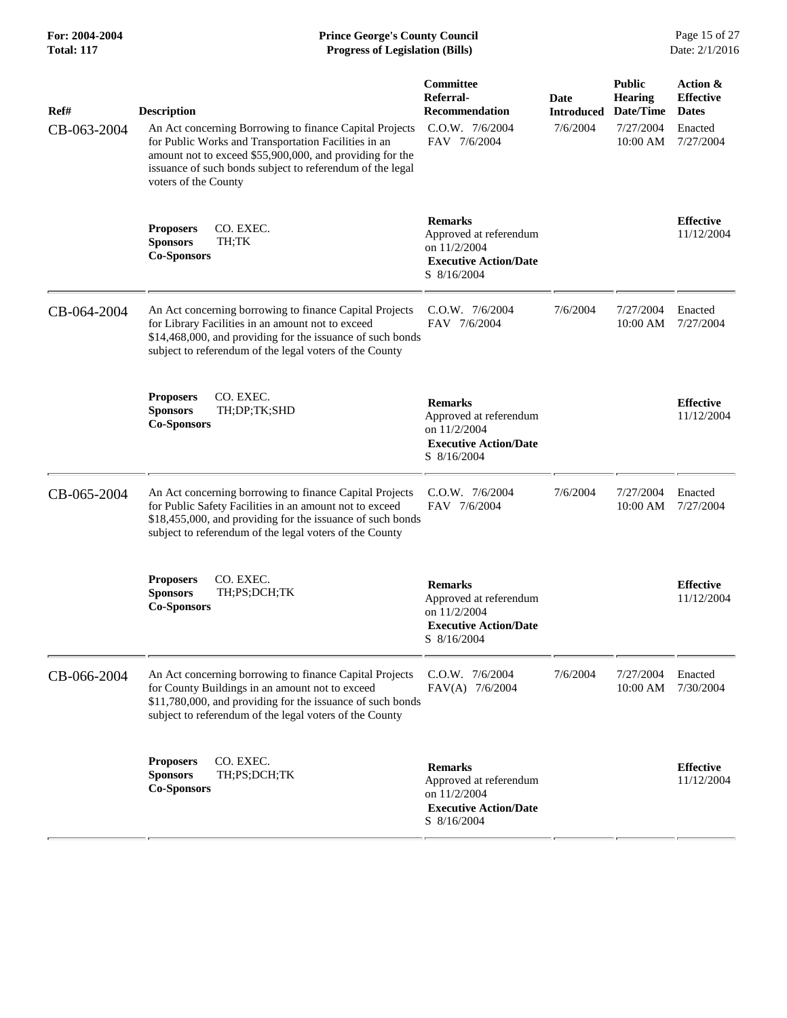| Ref#<br>CB-063-2004 | <b>Description</b><br>An Act concerning Borrowing to finance Capital Projects<br>for Public Works and Transportation Facilities in an<br>amount not to exceed \$55,900,000, and providing for the<br>issuance of such bonds subject to referendum of the legal<br>voters of the County | Committee<br>Referral-<br><b>Recommendation</b><br>C.O.W. 7/6/2004<br>FAV 7/6/2004                      | Date<br><b>Introduced</b><br>7/6/2004 | <b>Public</b><br><b>Hearing</b><br>Date/Time<br>7/27/2004<br>10:00 AM | Action &<br><b>Effective</b><br><b>Dates</b><br>Enacted<br>7/27/2004 |
|---------------------|----------------------------------------------------------------------------------------------------------------------------------------------------------------------------------------------------------------------------------------------------------------------------------------|---------------------------------------------------------------------------------------------------------|---------------------------------------|-----------------------------------------------------------------------|----------------------------------------------------------------------|
|                     | CO. EXEC.<br><b>Proposers</b><br><b>Sponsors</b><br>TH;TK<br><b>Co-Sponsors</b>                                                                                                                                                                                                        | <b>Remarks</b><br>Approved at referendum<br>on 11/2/2004<br><b>Executive Action/Date</b><br>S 8/16/2004 |                                       |                                                                       | <b>Effective</b><br>11/12/2004                                       |
| CB-064-2004         | An Act concerning borrowing to finance Capital Projects<br>for Library Facilities in an amount not to exceed<br>\$14,468,000, and providing for the issuance of such bonds<br>subject to referendum of the legal voters of the County                                                  | $C.O.W.$ 7/6/2004<br>FAV 7/6/2004                                                                       | 7/6/2004                              | 7/27/2004<br>10:00 AM                                                 | Enacted<br>7/27/2004                                                 |
|                     | CO. EXEC.<br><b>Proposers</b><br>TH;DP;TK;SHD<br><b>Sponsors</b><br><b>Co-Sponsors</b>                                                                                                                                                                                                 | <b>Remarks</b><br>Approved at referendum<br>on 11/2/2004<br><b>Executive Action/Date</b><br>S 8/16/2004 |                                       |                                                                       | <b>Effective</b><br>11/12/2004                                       |
| CB-065-2004         | An Act concerning borrowing to finance Capital Projects<br>for Public Safety Facilities in an amount not to exceed<br>\$18,455,000, and providing for the issuance of such bonds<br>subject to referendum of the legal voters of the County                                            | C.O.W. 7/6/2004<br>FAV 7/6/2004                                                                         | 7/6/2004                              | 7/27/2004<br>10:00 AM                                                 | Enacted<br>7/27/2004                                                 |
|                     | CO. EXEC.<br><b>Proposers</b><br><b>Sponsors</b><br>TH;PS;DCH;TK<br><b>Co-Sponsors</b>                                                                                                                                                                                                 | <b>Remarks</b><br>Approved at referendum<br>on 11/2/2004<br><b>Executive Action/Date</b><br>S 8/16/2004 |                                       |                                                                       | <b>Effective</b><br>11/12/2004                                       |
| CB-066-2004         | An Act concerning borrowing to finance Capital Projects<br>for County Buildings in an amount not to exceed<br>\$11,780,000, and providing for the issuance of such bonds<br>subject to referendum of the legal voters of the County                                                    | C.O.W. 7/6/2004<br>FAV(A) 7/6/2004                                                                      | 7/6/2004                              | 7/27/2004<br>10:00 AM                                                 | Enacted<br>7/30/2004                                                 |
|                     | CO. EXEC.<br><b>Proposers</b><br><b>Sponsors</b><br>TH;PS;DCH;TK<br><b>Co-Sponsors</b>                                                                                                                                                                                                 | <b>Remarks</b><br>Approved at referendum<br>on 11/2/2004<br><b>Executive Action/Date</b><br>S 8/16/2004 |                                       |                                                                       | <b>Effective</b><br>11/12/2004                                       |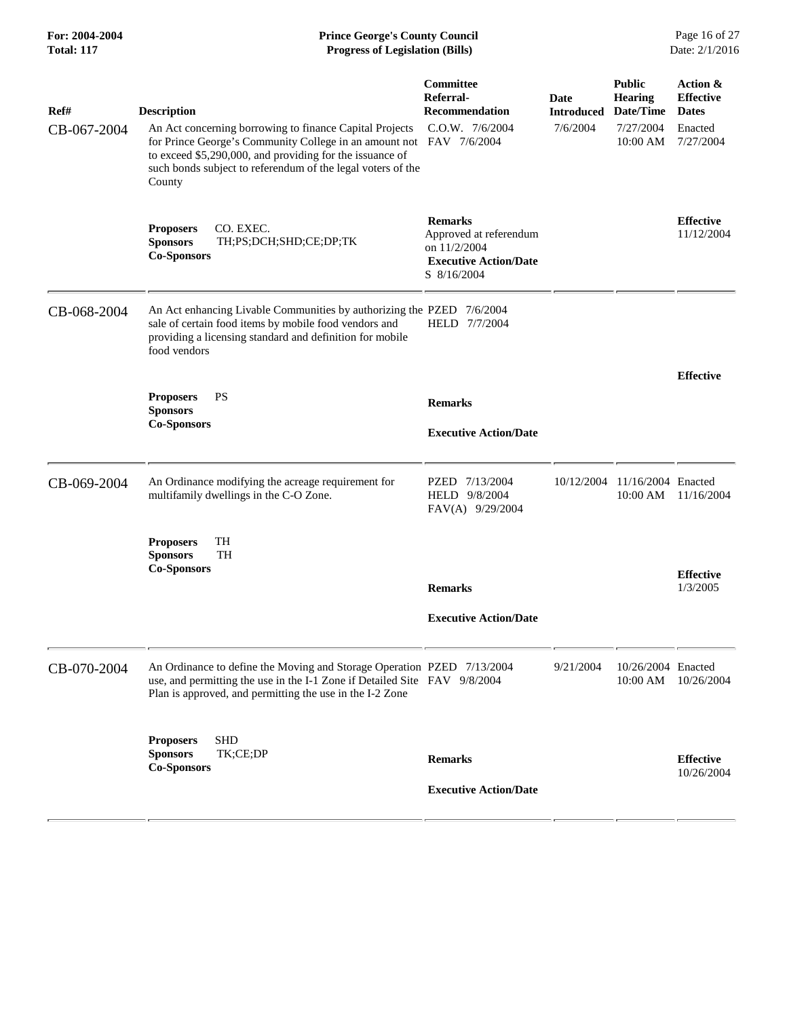| For: 2004-2004<br><b>Total: 117</b> | <b>Prince George's County Council</b><br>Page 16 of 27<br>Date: 2/1/2016<br><b>Progress of Legislation (Bills)</b>                                                                                                                                                  |                                                                                                         |                                  |                                              |                                              |
|-------------------------------------|---------------------------------------------------------------------------------------------------------------------------------------------------------------------------------------------------------------------------------------------------------------------|---------------------------------------------------------------------------------------------------------|----------------------------------|----------------------------------------------|----------------------------------------------|
| Ref#                                | <b>Description</b>                                                                                                                                                                                                                                                  | Committee<br>Referral-<br><b>Recommendation</b>                                                         | <b>Date</b><br><b>Introduced</b> | <b>Public</b><br><b>Hearing</b><br>Date/Time | Action &<br><b>Effective</b><br><b>Dates</b> |
| CB-067-2004                         | An Act concerning borrowing to finance Capital Projects<br>for Prince George's Community College in an amount not FAV 7/6/2004<br>to exceed \$5,290,000, and providing for the issuance of<br>such bonds subject to referendum of the legal voters of the<br>County | C.O.W. 7/6/2004                                                                                         | 7/6/2004                         | 7/27/2004<br>10:00 AM                        | Enacted<br>7/27/2004                         |
|                                     | <b>Proposers</b><br>CO. EXEC.<br>TH;PS;DCH;SHD;CE;DP;TK<br><b>Sponsors</b><br><b>Co-Sponsors</b>                                                                                                                                                                    | <b>Remarks</b><br>Approved at referendum<br>on 11/2/2004<br><b>Executive Action/Date</b><br>S 8/16/2004 |                                  |                                              | <b>Effective</b><br>11/12/2004               |
| CB-068-2004                         | An Act enhancing Livable Communities by authorizing the PZED 7/6/2004<br>sale of certain food items by mobile food vendors and<br>providing a licensing standard and definition for mobile<br>food vendors                                                          | HELD 7/7/2004                                                                                           |                                  |                                              |                                              |
|                                     | PS<br><b>Proposers</b>                                                                                                                                                                                                                                              |                                                                                                         |                                  |                                              | <b>Effective</b>                             |
|                                     | <b>Sponsors</b>                                                                                                                                                                                                                                                     | <b>Remarks</b>                                                                                          |                                  |                                              |                                              |
|                                     | <b>Co-Sponsors</b>                                                                                                                                                                                                                                                  | <b>Executive Action/Date</b>                                                                            |                                  |                                              |                                              |
| CB-069-2004                         | An Ordinance modifying the acreage requirement for<br>multifamily dwellings in the C-O Zone.                                                                                                                                                                        | PZED 7/13/2004<br>HELD 9/8/2004<br>FAV(A) 9/29/2004                                                     | 10/12/2004                       | 11/16/2004 Enacted<br>10:00 AM               | 11/16/2004                                   |
|                                     | TH<br><b>Proposers</b><br><b>TH</b><br><b>Sponsors</b>                                                                                                                                                                                                              |                                                                                                         |                                  |                                              |                                              |
|                                     | <b>Co-Sponsors</b>                                                                                                                                                                                                                                                  | <b>Remarks</b>                                                                                          |                                  |                                              | <b>Effective</b><br>1/3/2005                 |
|                                     |                                                                                                                                                                                                                                                                     | <b>Executive Action/Date</b>                                                                            |                                  |                                              |                                              |
| CB-070-2004                         | An Ordinance to define the Moving and Storage Operation PZED 7/13/2004<br>use, and permitting the use in the I-1 Zone if Detailed Site FAV 9/8/2004<br>Plan is approved, and permitting the use in the I-2 Zone                                                     |                                                                                                         | 9/21/2004                        | 10/26/2004 Enacted<br>10:00 AM               | 10/26/2004                                   |
|                                     | <b>SHD</b><br><b>Proposers</b><br><b>Sponsors</b><br>TK;CE;DP                                                                                                                                                                                                       |                                                                                                         |                                  |                                              |                                              |
|                                     | <b>Co-Sponsors</b>                                                                                                                                                                                                                                                  | <b>Remarks</b>                                                                                          |                                  |                                              | <b>Effective</b><br>10/26/2004               |
|                                     |                                                                                                                                                                                                                                                                     | <b>Executive Action/Date</b>                                                                            |                                  |                                              |                                              |
|                                     |                                                                                                                                                                                                                                                                     |                                                                                                         |                                  |                                              |                                              |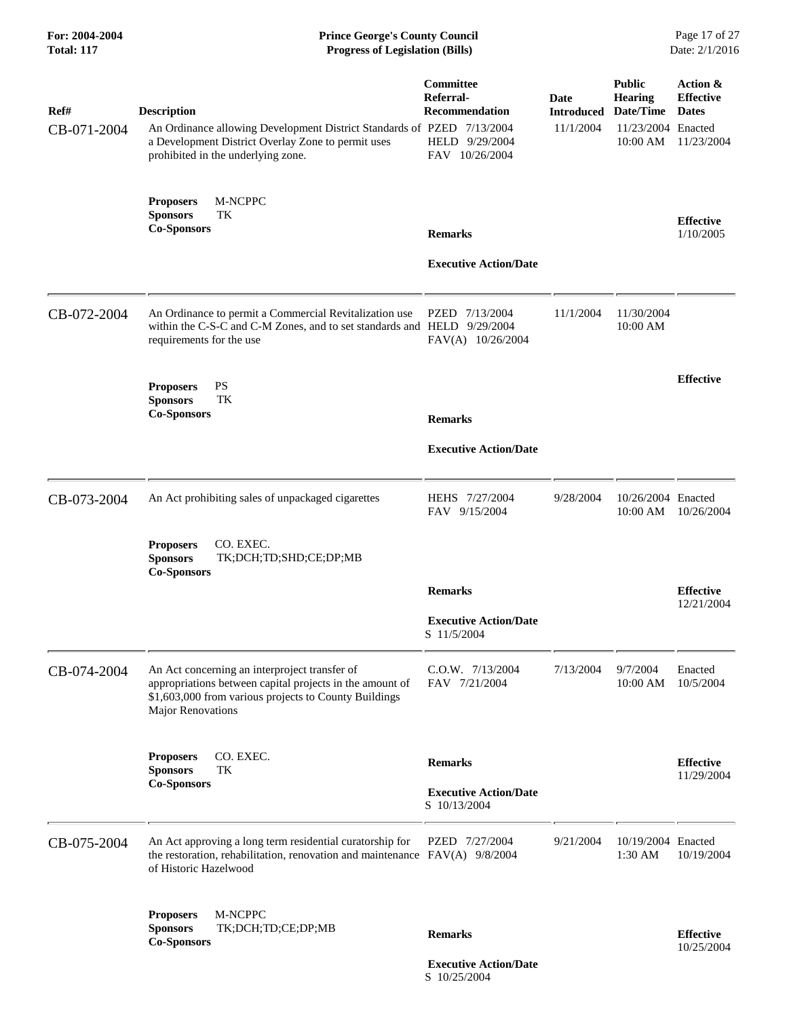| For: 2004-2004<br><b>Total: 117</b> | <b>Prince George's County Council</b><br><b>Progress of Legislation (Bills)</b>                                                                                                                |                                                                                     |                                        |                                                                                | Page 17 of 27<br>Date: 2/1/2016                            |
|-------------------------------------|------------------------------------------------------------------------------------------------------------------------------------------------------------------------------------------------|-------------------------------------------------------------------------------------|----------------------------------------|--------------------------------------------------------------------------------|------------------------------------------------------------|
| Ref#<br>CB-071-2004                 | <b>Description</b><br>An Ordinance allowing Development District Standards of PZED 7/13/2004<br>a Development District Overlay Zone to permit uses<br>prohibited in the underlying zone.       | Committee<br>Referral-<br><b>Recommendation</b><br>HELD 9/29/2004<br>FAV 10/26/2004 | Date<br><b>Introduced</b><br>11/1/2004 | <b>Public</b><br><b>Hearing</b><br>Date/Time<br>11/23/2004 Enacted<br>10:00 AM | Action &<br><b>Effective</b><br><b>Dates</b><br>11/23/2004 |
|                                     | <b>Proposers</b><br>M-NCPPC<br><b>Sponsors</b><br>TK<br><b>Co-Sponsors</b>                                                                                                                     | <b>Remarks</b><br><b>Executive Action/Date</b>                                      |                                        |                                                                                | <b>Effective</b><br>1/10/2005                              |
| CB-072-2004                         | An Ordinance to permit a Commercial Revitalization use<br>within the C-S-C and C-M Zones, and to set standards and HELD 9/29/2004<br>requirements for the use                                  | PZED 7/13/2004<br>FAV(A) 10/26/2004                                                 | 11/1/2004                              | 11/30/2004<br>10:00 AM                                                         |                                                            |
|                                     | PS<br><b>Proposers</b><br><b>Sponsors</b><br>TK<br><b>Co-Sponsors</b>                                                                                                                          | <b>Remarks</b><br><b>Executive Action/Date</b>                                      |                                        |                                                                                | <b>Effective</b>                                           |
| CB-073-2004                         | An Act prohibiting sales of unpackaged cigarettes                                                                                                                                              | HEHS 7/27/2004<br>FAV 9/15/2004                                                     | 9/28/2004                              | 10/26/2004 Enacted<br>10:00 AM                                                 | 10/26/2004                                                 |
|                                     | CO. EXEC.<br><b>Proposers</b><br>TK;DCH;TD;SHD;CE;DP;MB<br><b>Sponsors</b><br><b>Co-Sponsors</b>                                                                                               | <b>Remarks</b><br><b>Executive Action/Date</b><br>S 11/5/2004                       |                                        |                                                                                | <b>Effective</b><br>12/21/2004                             |
| CB-074-2004                         | An Act concerning an interproject transfer of<br>appropriations between capital projects in the amount of<br>\$1,603,000 from various projects to County Buildings<br><b>Major Renovations</b> | C.O.W. 7/13/2004<br>FAV 7/21/2004                                                   | 7/13/2004                              | 9/7/2004<br>10:00 AM                                                           | Enacted<br>10/5/2004                                       |
|                                     | CO. EXEC.<br><b>Proposers</b><br><b>Sponsors</b><br>TК<br><b>Co-Sponsors</b>                                                                                                                   | <b>Remarks</b><br><b>Executive Action/Date</b><br>S 10/13/2004                      |                                        |                                                                                | <b>Effective</b><br>11/29/2004                             |
| CB-075-2004                         | An Act approving a long term residential curatorship for<br>the restoration, rehabilitation, renovation and maintenance FAV(A) 9/8/2004<br>of Historic Hazelwood                               | PZED 7/27/2004                                                                      | 9/21/2004                              | 10/19/2004 Enacted<br>1:30 AM                                                  | 10/19/2004                                                 |
|                                     | M-NCPPC<br><b>Proposers</b><br><b>Sponsors</b><br>TK;DCH;TD;CE;DP;MB<br><b>Co-Sponsors</b>                                                                                                     | <b>Remarks</b>                                                                      |                                        |                                                                                | <b>Effective</b><br>10/25/2004                             |

 **Executive Action/Date** S 10/25/2004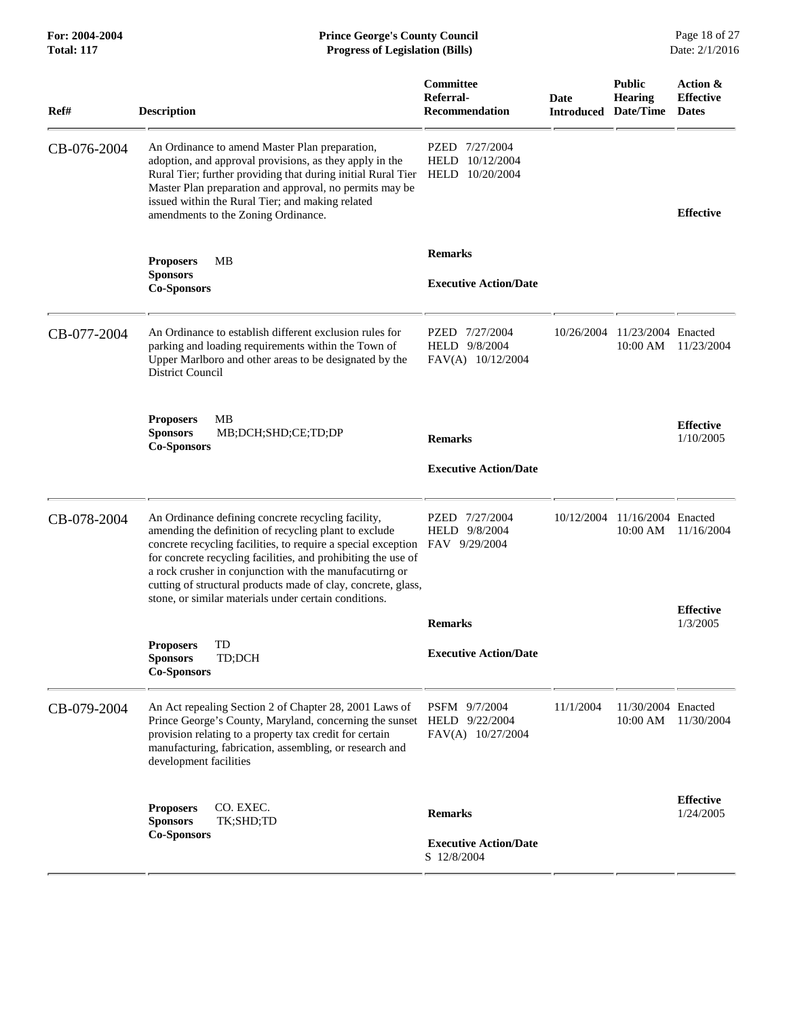| For: 2004-2004<br><b>Total: 117</b> | <b>Prince George's County Council</b><br><b>Progress of Legislation (Bills)</b>                                                                                                                                                                                                                                                                                                                                                    |                                                        |                                     |                                  | Page 18 of 27<br>Date: 2/1/2016              |
|-------------------------------------|------------------------------------------------------------------------------------------------------------------------------------------------------------------------------------------------------------------------------------------------------------------------------------------------------------------------------------------------------------------------------------------------------------------------------------|--------------------------------------------------------|-------------------------------------|----------------------------------|----------------------------------------------|
| Ref#                                | <b>Description</b>                                                                                                                                                                                                                                                                                                                                                                                                                 | <b>Committee</b><br>Referral-<br><b>Recommendation</b> | Date<br><b>Introduced Date/Time</b> | <b>Public</b><br><b>Hearing</b>  | Action &<br><b>Effective</b><br><b>Dates</b> |
| CB-076-2004                         | An Ordinance to amend Master Plan preparation,<br>adoption, and approval provisions, as they apply in the<br>Rural Tier; further providing that during initial Rural Tier<br>Master Plan preparation and approval, no permits may be<br>issued within the Rural Tier; and making related<br>amendments to the Zoning Ordinance.                                                                                                    | PZED 7/27/2004<br>HELD 10/12/2004<br>HELD 10/20/2004   |                                     |                                  | <b>Effective</b>                             |
|                                     | MВ<br><b>Proposers</b>                                                                                                                                                                                                                                                                                                                                                                                                             | <b>Remarks</b>                                         |                                     |                                  |                                              |
|                                     | <b>Sponsors</b><br><b>Co-Sponsors</b>                                                                                                                                                                                                                                                                                                                                                                                              | <b>Executive Action/Date</b>                           |                                     |                                  |                                              |
| CB-077-2004                         | An Ordinance to establish different exclusion rules for<br>parking and loading requirements within the Town of<br>Upper Marlboro and other areas to be designated by the<br>District Council                                                                                                                                                                                                                                       | PZED 7/27/2004<br>HELD 9/8/2004<br>FAV(A) 10/12/2004   | 10/26/2004                          | 11/23/2004 Enacted<br>$10:00$ AM | 11/23/2004                                   |
|                                     | MB<br><b>Proposers</b><br><b>Sponsors</b><br>MB;DCH;SHD;CE;TD;DP<br><b>Co-Sponsors</b>                                                                                                                                                                                                                                                                                                                                             | <b>Remarks</b>                                         |                                     |                                  | <b>Effective</b><br>1/10/2005                |
|                                     |                                                                                                                                                                                                                                                                                                                                                                                                                                    | <b>Executive Action/Date</b>                           |                                     |                                  |                                              |
| CB-078-2004                         | An Ordinance defining concrete recycling facility,<br>amending the definition of recycling plant to exclude<br>concrete recycling facilities, to require a special exception<br>for concrete recycling facilities, and prohibiting the use of<br>a rock crusher in conjunction with the manufacutirng or<br>cutting of structural products made of clay, concrete, glass,<br>stone, or similar materials under certain conditions. | PZED 7/27/2004<br>HELD 9/8/2004<br>FAV 9/29/2004       | 10/12/2004                          | 11/16/2004 Enacted<br>10:00 AM   | 11/16/2004                                   |
|                                     |                                                                                                                                                                                                                                                                                                                                                                                                                                    | <b>Remarks</b>                                         |                                     |                                  | <b>Effective</b><br>1/3/2005                 |
|                                     | TD<br><b>Proposers</b><br><b>Sponsors</b><br>TD;DCH<br><b>Co-Sponsors</b>                                                                                                                                                                                                                                                                                                                                                          | <b>Executive Action/Date</b>                           |                                     |                                  |                                              |
| CB-079-2004                         | An Act repealing Section 2 of Chapter 28, 2001 Laws of<br>Prince George's County, Maryland, concerning the sunset HELD 9/22/2004<br>provision relating to a property tax credit for certain<br>manufacturing, fabrication, assembling, or research and<br>development facilities                                                                                                                                                   | PSFM 9/7/2004<br>FAV(A) 10/27/2004                     | 11/1/2004                           | 11/30/2004 Enacted<br>10:00 AM   | 11/30/2004                                   |
|                                     | CO. EXEC.<br><b>Proposers</b><br>TK;SHD;TD<br><b>Sponsors</b>                                                                                                                                                                                                                                                                                                                                                                      | <b>Remarks</b>                                         |                                     |                                  | <b>Effective</b><br>1/24/2005                |
|                                     | <b>Co-Sponsors</b>                                                                                                                                                                                                                                                                                                                                                                                                                 | <b>Executive Action/Date</b><br>S 12/8/2004            |                                     |                                  |                                              |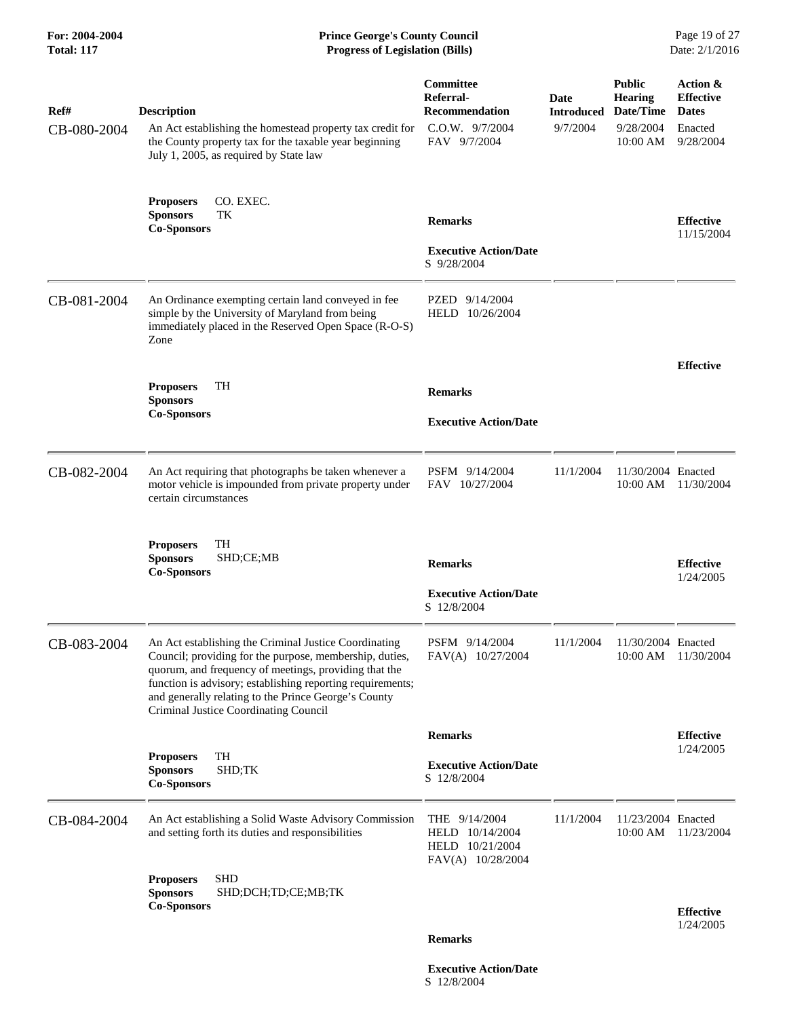| For: 2004-2004<br><b>Total: 117</b> | <b>Prince George's County Council</b><br><b>Progress of Legislation (Bills)</b>                                                                                                                                                                                                                                                          |                                                                             |                                                 |                                                          | Page 19 of 27<br>Date: 2/1/2016                                      |
|-------------------------------------|------------------------------------------------------------------------------------------------------------------------------------------------------------------------------------------------------------------------------------------------------------------------------------------------------------------------------------------|-----------------------------------------------------------------------------|-------------------------------------------------|----------------------------------------------------------|----------------------------------------------------------------------|
| Ref#<br>CB-080-2004                 | <b>Description</b><br>An Act establishing the homestead property tax credit for<br>the County property tax for the taxable year beginning<br>July 1, 2005, as required by State law                                                                                                                                                      | Committee<br>Referral-<br>Recommendation<br>C.O.W. 9/7/2004<br>FAV 9/7/2004 | Date<br><b>Introduced Date/Time</b><br>9/7/2004 | <b>Public</b><br><b>Hearing</b><br>9/28/2004<br>10:00 AM | Action &<br><b>Effective</b><br><b>Dates</b><br>Enacted<br>9/28/2004 |
|                                     | CO. EXEC.<br><b>Proposers</b><br>TК<br><b>Sponsors</b><br><b>Co-Sponsors</b>                                                                                                                                                                                                                                                             | <b>Remarks</b><br><b>Executive Action/Date</b><br>S 9/28/2004               |                                                 |                                                          | <b>Effective</b><br>11/15/2004                                       |
| CB-081-2004                         | An Ordinance exempting certain land conveyed in fee<br>simple by the University of Maryland from being<br>immediately placed in the Reserved Open Space (R-O-S)<br>Zone                                                                                                                                                                  | PZED 9/14/2004<br>HELD 10/26/2004                                           |                                                 |                                                          |                                                                      |
|                                     | <b>TH</b><br><b>Proposers</b><br><b>Sponsors</b><br><b>Co-Sponsors</b>                                                                                                                                                                                                                                                                   | <b>Remarks</b><br><b>Executive Action/Date</b>                              |                                                 |                                                          | <b>Effective</b>                                                     |
| CB-082-2004                         | An Act requiring that photographs be taken whenever a<br>motor vehicle is impounded from private property under<br>certain circumstances                                                                                                                                                                                                 | PSFM 9/14/2004<br>FAV 10/27/2004                                            | 11/1/2004                                       | 11/30/2004 Enacted<br>10:00 AM                           | 11/30/2004                                                           |
|                                     | <b>Proposers</b><br>TH<br>SHD;CE;MB<br><b>Sponsors</b><br><b>Co-Sponsors</b>                                                                                                                                                                                                                                                             | <b>Remarks</b><br><b>Executive Action/Date</b><br>S 12/8/2004               |                                                 |                                                          | <b>Effective</b><br>1/24/2005                                        |
| CB-083-2004                         | An Act establishing the Criminal Justice Coordinating<br>Council; providing for the purpose, membership, duties,<br>quorum, and frequency of meetings, providing that the<br>function is advisory; establishing reporting requirements;<br>and generally relating to the Prince George's County<br>Criminal Justice Coordinating Council | PSFM 9/14/2004<br>FAV(A) 10/27/2004                                         | 11/1/2004                                       | 11/30/2004 Enacted<br>$10:00$ AM                         | 11/30/2004                                                           |
|                                     |                                                                                                                                                                                                                                                                                                                                          | <b>Remarks</b>                                                              |                                                 |                                                          | <b>Effective</b>                                                     |
|                                     | TH<br><b>Proposers</b><br><b>Sponsors</b><br>SHD;TK<br><b>Co-Sponsors</b>                                                                                                                                                                                                                                                                | <b>Executive Action/Date</b><br>S 12/8/2004                                 |                                                 |                                                          | 1/24/2005                                                            |
| CB-084-2004                         | An Act establishing a Solid Waste Advisory Commission<br>and setting forth its duties and responsibilities                                                                                                                                                                                                                               | THE 9/14/2004<br>HELD 10/14/2004<br>HELD 10/21/2004<br>FAV(A) 10/28/2004    | 11/1/2004                                       | 11/23/2004 Enacted<br>10:00 AM                           | 11/23/2004                                                           |
|                                     | <b>SHD</b><br><b>Proposers</b><br><b>Sponsors</b><br>SHD;DCH;TD;CE;MB;TK<br><b>Co-Sponsors</b>                                                                                                                                                                                                                                           | <b>Remarks</b>                                                              |                                                 |                                                          | <b>Effective</b><br>1/24/2005                                        |

 **Executive Action/Date** S 12/8/2004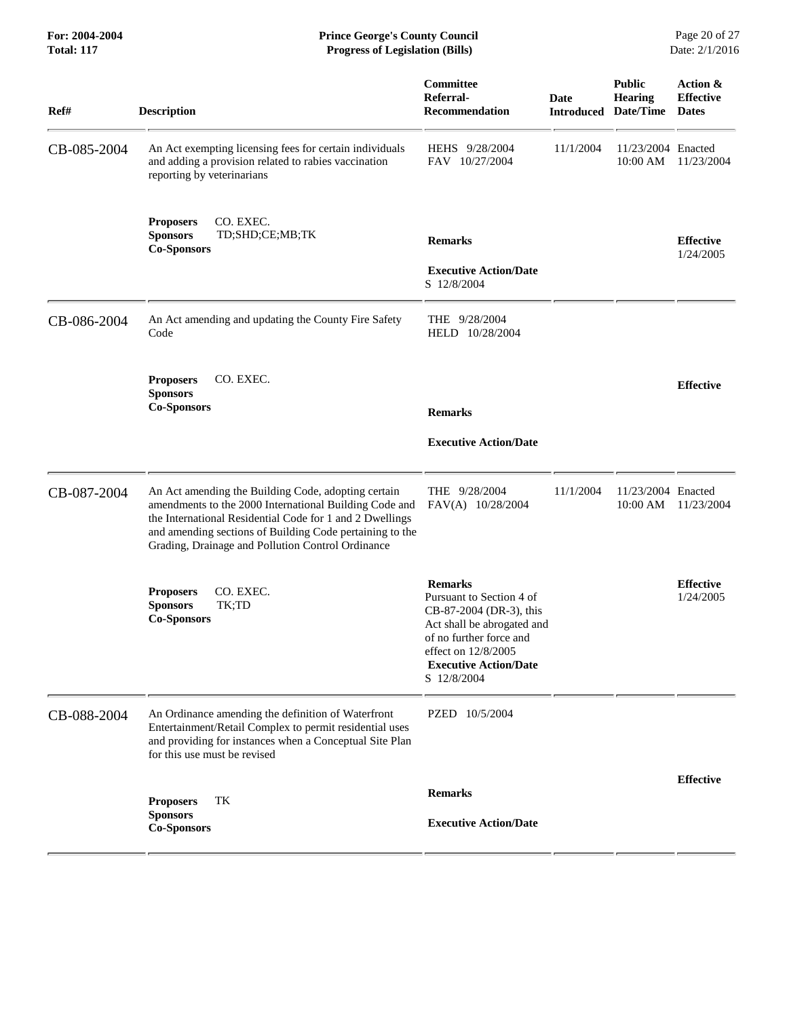**For: 2004-2004 Prince George's County Council** Page 20 of 27<br> **Prince George's County Council** Page 20 of 27<br> **Progress of Legislation (Bills)** Date: 2/1/2016 **Total: 117 Progress of Legislation (Bills)** 

| Ref#        | <b>Description</b>                                                                                                                                                                                                                                                                         | <b>Committee</b><br>Referral-<br><b>Recommendation</b>                                                                                                                                               | <b>Date</b><br><b>Introduced</b> | <b>Public</b><br><b>Hearing</b><br>Date/Time | Action &<br><b>Effective</b><br><b>Dates</b> |
|-------------|--------------------------------------------------------------------------------------------------------------------------------------------------------------------------------------------------------------------------------------------------------------------------------------------|------------------------------------------------------------------------------------------------------------------------------------------------------------------------------------------------------|----------------------------------|----------------------------------------------|----------------------------------------------|
| CB-085-2004 | An Act exempting licensing fees for certain individuals<br>and adding a provision related to rabies vaccination<br>reporting by veterinarians                                                                                                                                              | HEHS 9/28/2004<br>FAV 10/27/2004                                                                                                                                                                     | 11/1/2004                        | 11/23/2004 Enacted<br>10:00 AM               | 11/23/2004                                   |
|             | <b>Proposers</b><br>CO. EXEC.<br>TD;SHD;CE;MB;TK<br><b>Sponsors</b><br><b>Co-Sponsors</b>                                                                                                                                                                                                  | <b>Remarks</b><br><b>Executive Action/Date</b><br>S 12/8/2004                                                                                                                                        |                                  |                                              | <b>Effective</b><br>1/24/2005                |
| CB-086-2004 | An Act amending and updating the County Fire Safety<br>Code                                                                                                                                                                                                                                | THE 9/28/2004<br>HELD 10/28/2004                                                                                                                                                                     |                                  |                                              |                                              |
|             | CO. EXEC.<br><b>Proposers</b><br><b>Sponsors</b><br><b>Co-Sponsors</b>                                                                                                                                                                                                                     | <b>Remarks</b><br><b>Executive Action/Date</b>                                                                                                                                                       |                                  |                                              | <b>Effective</b>                             |
| CB-087-2004 | An Act amending the Building Code, adopting certain<br>amendments to the 2000 International Building Code and<br>the International Residential Code for 1 and 2 Dwellings<br>and amending sections of Building Code pertaining to the<br>Grading, Drainage and Pollution Control Ordinance | THE 9/28/2004<br>FAV(A) 10/28/2004                                                                                                                                                                   | 11/1/2004                        | 11/23/2004 Enacted<br>10:00 AM               | 11/23/2004                                   |
|             | CO. EXEC.<br><b>Proposers</b><br>TK;TD<br><b>Sponsors</b><br><b>Co-Sponsors</b>                                                                                                                                                                                                            | <b>Remarks</b><br>Pursuant to Section 4 of<br>CB-87-2004 (DR-3), this<br>Act shall be abrogated and<br>of no further force and<br>effect on 12/8/2005<br><b>Executive Action/Date</b><br>S 12/8/2004 |                                  |                                              | <b>Effective</b><br>1/24/2005                |
| CB-088-2004 | An Ordinance amending the definition of Waterfront<br>Entertainment/Retail Complex to permit residential uses<br>and providing for instances when a Conceptual Site Plan<br>for this use must be revised                                                                                   | PZED 10/5/2004                                                                                                                                                                                       |                                  |                                              |                                              |
|             | TК<br><b>Proposers</b><br><b>Sponsors</b>                                                                                                                                                                                                                                                  | <b>Remarks</b><br><b>Executive Action/Date</b>                                                                                                                                                       |                                  |                                              | <b>Effective</b>                             |
|             | <b>Co-Sponsors</b>                                                                                                                                                                                                                                                                         |                                                                                                                                                                                                      |                                  |                                              |                                              |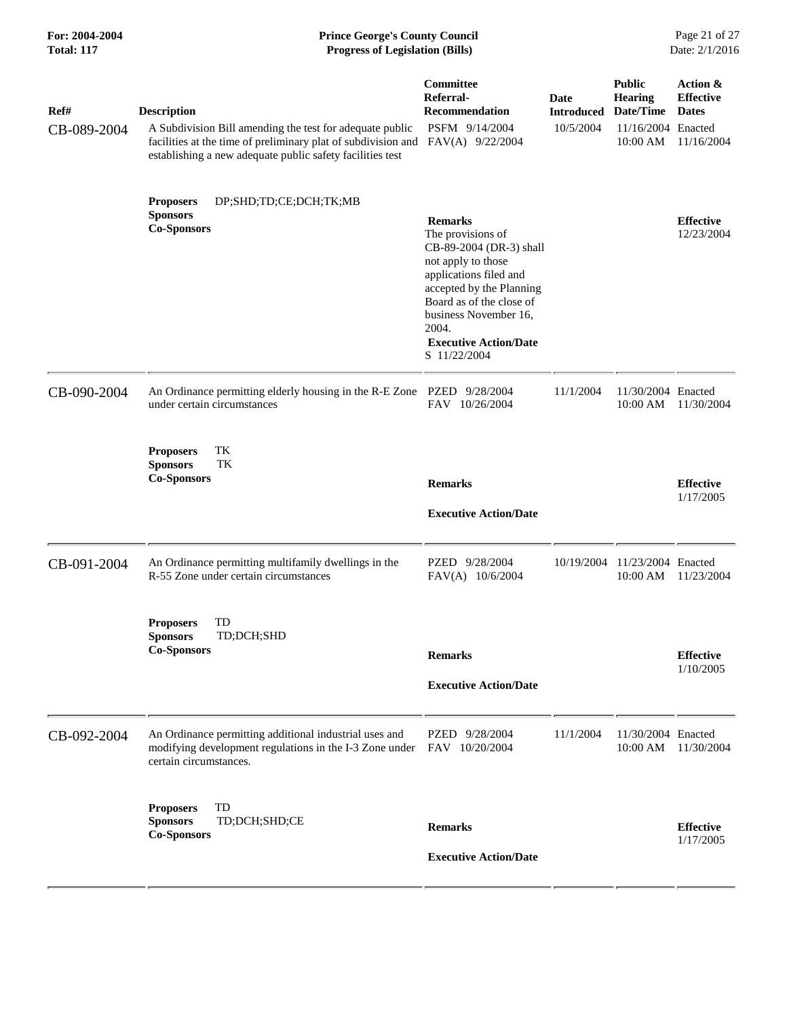| For: 2004-2004<br><b>Total: 117</b> | <b>Prince George's County Council</b><br><b>Progress of Legislation (Bills)</b>                                                                                                                                               |                                                                                                                                                                                                                                                          |                                        | Page 21 of 27<br>Date: 2/1/2016                                                |                                                            |
|-------------------------------------|-------------------------------------------------------------------------------------------------------------------------------------------------------------------------------------------------------------------------------|----------------------------------------------------------------------------------------------------------------------------------------------------------------------------------------------------------------------------------------------------------|----------------------------------------|--------------------------------------------------------------------------------|------------------------------------------------------------|
| Ref#<br>CB-089-2004                 | <b>Description</b><br>A Subdivision Bill amending the test for adequate public<br>facilities at the time of preliminary plat of subdivision and FAV(A) 9/22/2004<br>establishing a new adequate public safety facilities test | <b>Committee</b><br>Referral-<br><b>Recommendation</b><br>PSFM 9/14/2004                                                                                                                                                                                 | Date<br><b>Introduced</b><br>10/5/2004 | <b>Public</b><br><b>Hearing</b><br>Date/Time<br>11/16/2004 Enacted<br>10:00 AM | Action &<br><b>Effective</b><br><b>Dates</b><br>11/16/2004 |
|                                     | DP;SHD;TD;CE;DCH;TK;MB<br><b>Proposers</b><br><b>Sponsors</b><br><b>Co-Sponsors</b>                                                                                                                                           | <b>Remarks</b><br>The provisions of<br>CB-89-2004 (DR-3) shall<br>not apply to those<br>applications filed and<br>accepted by the Planning<br>Board as of the close of<br>business November 16,<br>2004.<br><b>Executive Action/Date</b><br>S 11/22/2004 |                                        |                                                                                | <b>Effective</b><br>12/23/2004                             |
| CB-090-2004                         | An Ordinance permitting elderly housing in the R-E Zone PZED 9/28/2004<br>under certain circumstances                                                                                                                         | FAV 10/26/2004                                                                                                                                                                                                                                           | 11/1/2004                              | 11/30/2004 Enacted<br>10:00 AM                                                 | 11/30/2004                                                 |
|                                     | TK<br><b>Proposers</b><br><b>Sponsors</b><br>TK<br><b>Co-Sponsors</b>                                                                                                                                                         | <b>Remarks</b><br><b>Executive Action/Date</b>                                                                                                                                                                                                           |                                        |                                                                                | <b>Effective</b><br>1/17/2005                              |
| CB-091-2004                         | An Ordinance permitting multifamily dwellings in the<br>R-55 Zone under certain circumstances                                                                                                                                 | PZED 9/28/2004<br>FAV(A) 10/6/2004                                                                                                                                                                                                                       | 10/19/2004                             | 11/23/2004 Enacted<br>10:00 AM                                                 | 11/23/2004                                                 |
|                                     | TD<br><b>Proposers</b><br>TD;DCH;SHD<br><b>Sponsors</b><br><b>Co-Sponsors</b>                                                                                                                                                 | <b>Remarks</b><br><b>Executive Action/Date</b>                                                                                                                                                                                                           |                                        |                                                                                | <b>Effective</b><br>1/10/2005                              |
| CB-092-2004                         | An Ordinance permitting additional industrial uses and<br>modifying development regulations in the I-3 Zone under FAV 10/20/2004<br>certain circumstances.                                                                    | PZED 9/28/2004                                                                                                                                                                                                                                           | 11/1/2004                              | 11/30/2004 Enacted<br>10:00 AM                                                 | 11/30/2004                                                 |
|                                     | TD<br><b>Proposers</b><br>TD;DCH;SHD;CE<br><b>Sponsors</b><br><b>Co-Sponsors</b>                                                                                                                                              | <b>Remarks</b><br><b>Executive Action/Date</b>                                                                                                                                                                                                           |                                        |                                                                                | <b>Effective</b><br>1/17/2005                              |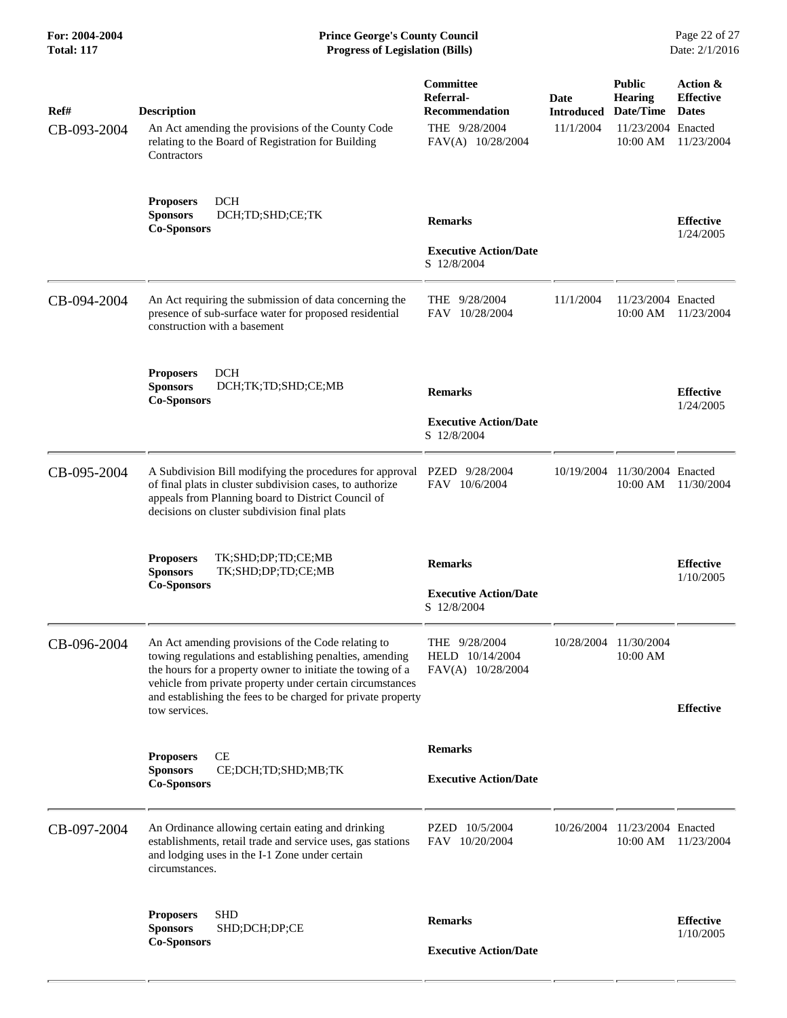| Ref#        | <b>Description</b>                                                                                                                                                                                                                                                                                                        | Committee<br>Referral-<br><b>Recommendation</b>               | <b>Date</b><br><b>Introduced</b> | <b>Public</b><br><b>Hearing</b><br>Date/Time | Action &<br><b>Effective</b><br><b>Dates</b> |
|-------------|---------------------------------------------------------------------------------------------------------------------------------------------------------------------------------------------------------------------------------------------------------------------------------------------------------------------------|---------------------------------------------------------------|----------------------------------|----------------------------------------------|----------------------------------------------|
| CB-093-2004 | An Act amending the provisions of the County Code<br>relating to the Board of Registration for Building<br>Contractors                                                                                                                                                                                                    | THE 9/28/2004<br>FAV(A) 10/28/2004                            | 11/1/2004                        | 11/23/2004 Enacted<br>$10:00$ AM             | 11/23/2004                                   |
|             | <b>DCH</b><br><b>Proposers</b><br>DCH;TD;SHD;CE;TK<br><b>Sponsors</b><br><b>Co-Sponsors</b>                                                                                                                                                                                                                               | <b>Remarks</b>                                                |                                  |                                              | <b>Effective</b><br>1/24/2005                |
|             |                                                                                                                                                                                                                                                                                                                           | <b>Executive Action/Date</b><br>S 12/8/2004                   |                                  |                                              |                                              |
| CB-094-2004 | An Act requiring the submission of data concerning the<br>presence of sub-surface water for proposed residential<br>construction with a basement                                                                                                                                                                          | THE $9/28/2004$<br>FAV 10/28/2004                             | 11/1/2004                        | 11/23/2004 Enacted<br>10:00 AM               | 11/23/2004                                   |
|             | <b>DCH</b><br><b>Proposers</b><br><b>Sponsors</b><br>DCH;TK;TD;SHD;CE;MB<br><b>Co-Sponsors</b>                                                                                                                                                                                                                            | <b>Remarks</b>                                                |                                  |                                              | <b>Effective</b><br>1/24/2005                |
|             |                                                                                                                                                                                                                                                                                                                           | <b>Executive Action/Date</b><br>S 12/8/2004                   |                                  |                                              |                                              |
| CB-095-2004 | A Subdivision Bill modifying the procedures for approval<br>of final plats in cluster subdivision cases, to authorize<br>appeals from Planning board to District Council of<br>decisions on cluster subdivision final plats                                                                                               | PZED 9/28/2004<br>FAV 10/6/2004                               | 10/19/2004                       | 11/30/2004 Enacted<br>10:00 AM               | 11/30/2004                                   |
|             | TK;SHD;DP;TD;CE;MB<br><b>Proposers</b><br><b>Sponsors</b><br>TK;SHD;DP;TD;CE;MB<br><b>Co-Sponsors</b>                                                                                                                                                                                                                     | <b>Remarks</b><br><b>Executive Action/Date</b><br>S 12/8/2004 |                                  |                                              | <b>Effective</b><br>1/10/2005                |
| CB-096-2004 | An Act amending provisions of the Code relating to<br>towing regulations and establishing penalties, amending<br>the hours for a property owner to initiate the towing of a<br>vehicle from private property under certain circumstances<br>and establishing the fees to be charged for private property<br>tow services. | THE 9/28/2004<br>HELD 10/14/2004<br>FAV(A) 10/28/2004         |                                  | 10/28/2004 11/30/2004<br>10:00 AM            | <b>Effective</b>                             |
|             | <b>Proposers</b><br>CЕ<br><b>Sponsors</b><br>CE;DCH;TD;SHD;MB;TK<br><b>Co-Sponsors</b>                                                                                                                                                                                                                                    | <b>Remarks</b><br><b>Executive Action/Date</b>                |                                  |                                              |                                              |
| CB-097-2004 | An Ordinance allowing certain eating and drinking<br>establishments, retail trade and service uses, gas stations<br>and lodging uses in the I-1 Zone under certain<br>circumstances.                                                                                                                                      | PZED 10/5/2004<br>FAV 10/20/2004                              | 10/26/2004                       | 11/23/2004 Enacted<br>10:00 AM               | 11/23/2004                                   |
|             | <b>SHD</b><br><b>Proposers</b><br><b>Sponsors</b><br>SHD;DCH;DP;CE                                                                                                                                                                                                                                                        | <b>Remarks</b>                                                |                                  |                                              | <b>Effective</b>                             |
|             | <b>Co-Sponsors</b>                                                                                                                                                                                                                                                                                                        | <b>Executive Action/Date</b>                                  |                                  |                                              | 1/10/2005                                    |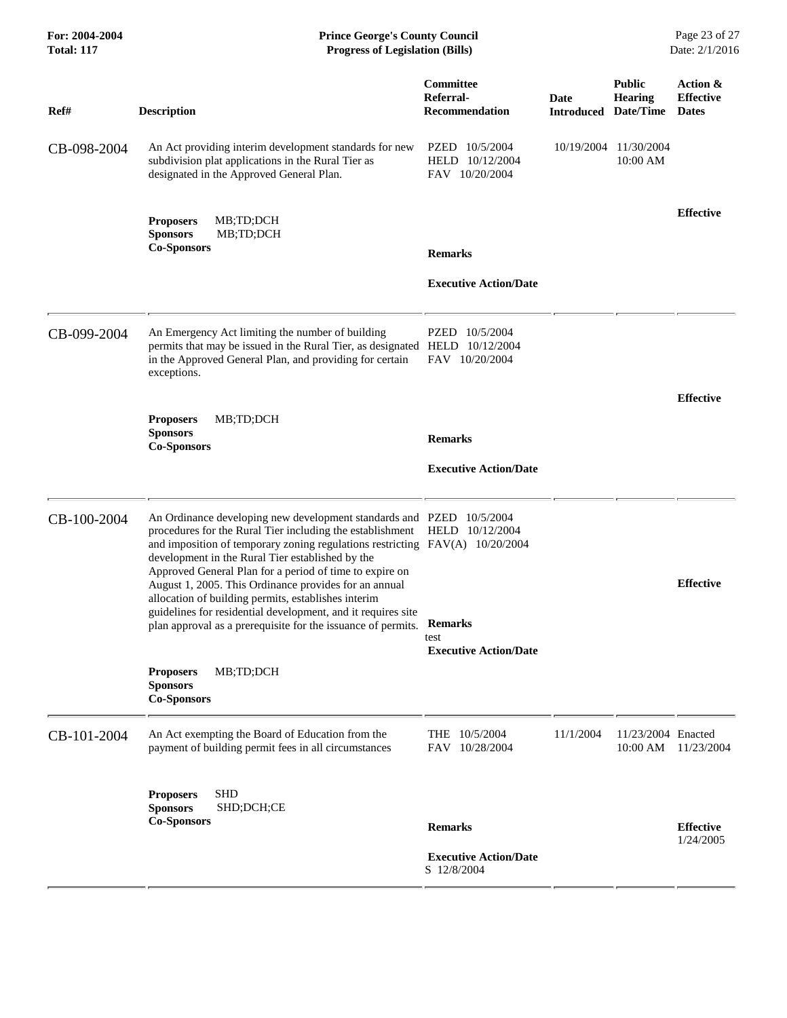| For: 2004-2004<br><b>Total: 117</b> | <b>Prince George's County Council</b><br><b>Progress of Legislation (Bills)</b>                                                                                                                                                                                                                                                                                                                                                                                                                                                                                                                  |                                                        |                                     |                                   |                                              |
|-------------------------------------|--------------------------------------------------------------------------------------------------------------------------------------------------------------------------------------------------------------------------------------------------------------------------------------------------------------------------------------------------------------------------------------------------------------------------------------------------------------------------------------------------------------------------------------------------------------------------------------------------|--------------------------------------------------------|-------------------------------------|-----------------------------------|----------------------------------------------|
| Ref#                                | <b>Description</b>                                                                                                                                                                                                                                                                                                                                                                                                                                                                                                                                                                               | <b>Committee</b><br>Referral-<br><b>Recommendation</b> | Date<br><b>Introduced Date/Time</b> | <b>Public</b><br>Hearing          | Action &<br><b>Effective</b><br><b>Dates</b> |
| CB-098-2004                         | An Act providing interim development standards for new<br>subdivision plat applications in the Rural Tier as<br>designated in the Approved General Plan.                                                                                                                                                                                                                                                                                                                                                                                                                                         | PZED 10/5/2004<br>HELD 10/12/2004<br>FAV 10/20/2004    |                                     | 10/19/2004 11/30/2004<br>10:00 AM |                                              |
|                                     | <b>Proposers</b><br>MB;TD;DCH<br><b>Sponsors</b><br>MB;TD;DCH<br><b>Co-Sponsors</b>                                                                                                                                                                                                                                                                                                                                                                                                                                                                                                              | <b>Remarks</b>                                         |                                     |                                   | <b>Effective</b>                             |
|                                     |                                                                                                                                                                                                                                                                                                                                                                                                                                                                                                                                                                                                  | <b>Executive Action/Date</b>                           |                                     |                                   |                                              |
| CB-099-2004                         | An Emergency Act limiting the number of building<br>permits that may be issued in the Rural Tier, as designated HELD 10/12/2004<br>in the Approved General Plan, and providing for certain<br>exceptions.                                                                                                                                                                                                                                                                                                                                                                                        | PZED 10/5/2004<br>FAV 10/20/2004                       |                                     |                                   |                                              |
|                                     | <b>Proposers</b><br>MB;TD;DCH<br><b>Sponsors</b><br><b>Co-Sponsors</b>                                                                                                                                                                                                                                                                                                                                                                                                                                                                                                                           | <b>Remarks</b><br><b>Executive Action/Date</b>         |                                     |                                   | <b>Effective</b>                             |
| CB-100-2004                         | An Ordinance developing new development standards and PZED 10/5/2004<br>procedures for the Rural Tier including the establishment HELD 10/12/2004<br>and imposition of temporary zoning regulations restricting FAV(A) 10/20/2004<br>development in the Rural Tier established by the<br>Approved General Plan for a period of time to expire on<br>August 1, 2005. This Ordinance provides for an annual<br>allocation of building permits, establishes interim<br>guidelines for residential development, and it requires site<br>plan approval as a prerequisite for the issuance of permits. | <b>Remarks</b><br>test<br><b>Executive Action/Date</b> |                                     |                                   | <b>Effective</b>                             |
|                                     | <b>Proposers</b><br>MB;TD;DCH<br><b>Sponsors</b><br><b>Co-Sponsors</b>                                                                                                                                                                                                                                                                                                                                                                                                                                                                                                                           |                                                        |                                     |                                   |                                              |
| CB-101-2004                         | An Act exempting the Board of Education from the<br>payment of building permit fees in all circumstances                                                                                                                                                                                                                                                                                                                                                                                                                                                                                         | THE 10/5/2004<br>FAV 10/28/2004                        | 11/1/2004                           | 11/23/2004 Enacted<br>10:00 AM    | 11/23/2004                                   |
|                                     | <b>SHD</b><br><b>Proposers</b><br><b>Sponsors</b><br>SHD;DCH;CE<br><b>Co-Sponsors</b>                                                                                                                                                                                                                                                                                                                                                                                                                                                                                                            | <b>Remarks</b>                                         |                                     |                                   | <b>Effective</b><br>1/24/2005                |
|                                     |                                                                                                                                                                                                                                                                                                                                                                                                                                                                                                                                                                                                  | <b>Executive Action/Date</b><br>S 12/8/2004            |                                     |                                   |                                              |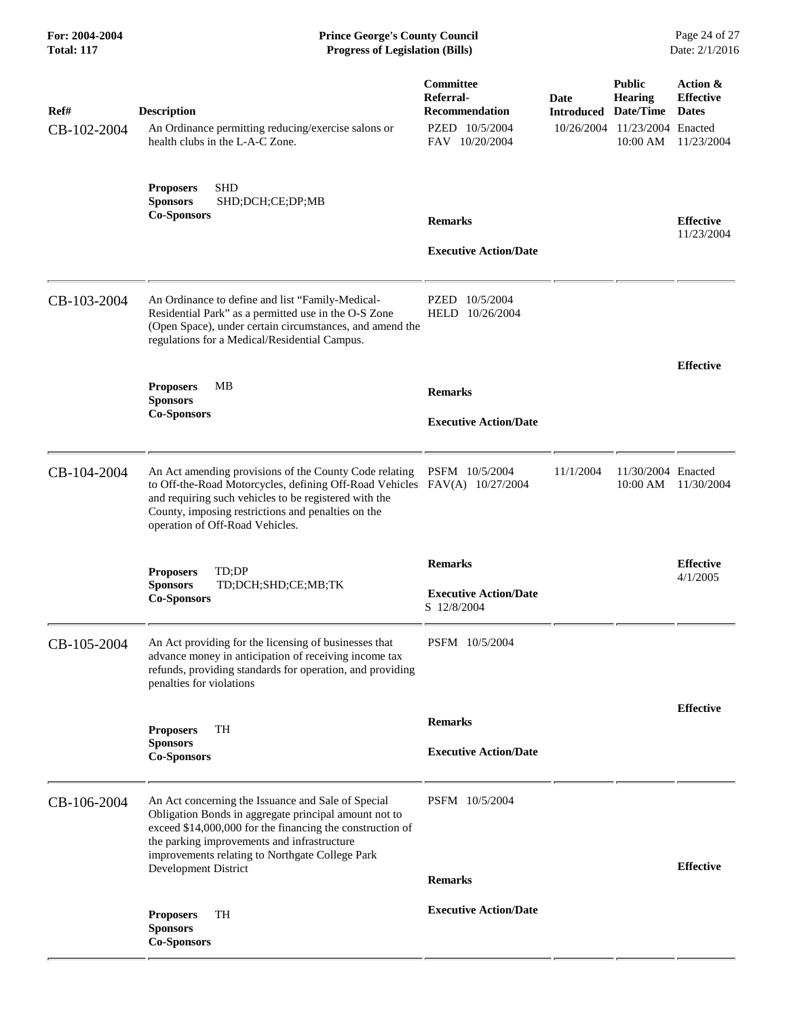| Ref#<br>CB-102-2004 | <b>Description</b><br>An Ordinance permitting reducing/exercise salons or<br>health clubs in the L-A-C Zone.                                                                                                                                                                                              | Committee<br>Referral-<br><b>Recommendation</b><br>PZED 10/5/2004<br>FAV 10/20/2004 | Date<br>Introduced<br>10/26/2004 | <b>Public</b><br><b>Hearing</b><br>Date/Time<br>11/23/2004 Enacted<br>10:00 AM | Action &<br><b>Effective</b><br><b>Dates</b><br>11/23/2004 |
|---------------------|-----------------------------------------------------------------------------------------------------------------------------------------------------------------------------------------------------------------------------------------------------------------------------------------------------------|-------------------------------------------------------------------------------------|----------------------------------|--------------------------------------------------------------------------------|------------------------------------------------------------|
|                     | <b>SHD</b><br><b>Proposers</b><br><b>Sponsors</b><br>SHD;DCH;CE;DP;MB<br><b>Co-Sponsors</b>                                                                                                                                                                                                               | <b>Remarks</b><br><b>Executive Action/Date</b>                                      |                                  |                                                                                | <b>Effective</b><br>11/23/2004                             |
| CB-103-2004         | An Ordinance to define and list "Family-Medical-<br>Residential Park" as a permitted use in the O-S Zone<br>(Open Space), under certain circumstances, and amend the<br>regulations for a Medical/Residential Campus.                                                                                     | PZED 10/5/2004<br>HELD 10/26/2004                                                   |                                  |                                                                                | <b>Effective</b>                                           |
|                     | <b>Proposers</b><br>MВ<br><b>Sponsors</b><br><b>Co-Sponsors</b>                                                                                                                                                                                                                                           | <b>Remarks</b><br><b>Executive Action/Date</b>                                      |                                  |                                                                                |                                                            |
| CB-104-2004         | An Act amending provisions of the County Code relating<br>to Off-the-Road Motorcycles, defining Off-Road Vehicles FAV(A) 10/27/2004<br>and requiring such vehicles to be registered with the<br>County, imposing restrictions and penalties on the<br>operation of Off-Road Vehicles.                     | PSFM 10/5/2004                                                                      | 11/1/2004                        | 11/30/2004 Enacted<br>10:00 AM                                                 | 11/30/2004                                                 |
|                     | TD:DP<br><b>Proposers</b><br><b>Sponsors</b><br>TD;DCH;SHD;CE;MB;TK<br><b>Co-Sponsors</b>                                                                                                                                                                                                                 | <b>Remarks</b><br><b>Executive Action/Date</b><br>S 12/8/2004                       |                                  |                                                                                | <b>Effective</b><br>4/1/2005                               |
| CB-105-2004         | An Act providing for the licensing of businesses that<br>advance money in anticipation of receiving income tax<br>refunds, providing standards for operation, and providing<br>penalties for violations                                                                                                   | PSFM 10/5/2004                                                                      |                                  |                                                                                |                                                            |
|                     | <b>Proposers</b><br>TH<br><b>Sponsors</b><br><b>Co-Sponsors</b>                                                                                                                                                                                                                                           | <b>Remarks</b><br><b>Executive Action/Date</b>                                      |                                  |                                                                                | <b>Effective</b>                                           |
| CB-106-2004         | An Act concerning the Issuance and Sale of Special<br>Obligation Bonds in aggregate principal amount not to<br>exceed \$14,000,000 for the financing the construction of<br>the parking improvements and infrastructure<br>improvements relating to Northgate College Park<br><b>Development District</b> | PSFM 10/5/2004<br><b>Remarks</b>                                                    |                                  |                                                                                | <b>Effective</b>                                           |
|                     | <b>Proposers</b><br>TH<br><b>Sponsors</b><br><b>Co-Sponsors</b>                                                                                                                                                                                                                                           | <b>Executive Action/Date</b>                                                        |                                  |                                                                                |                                                            |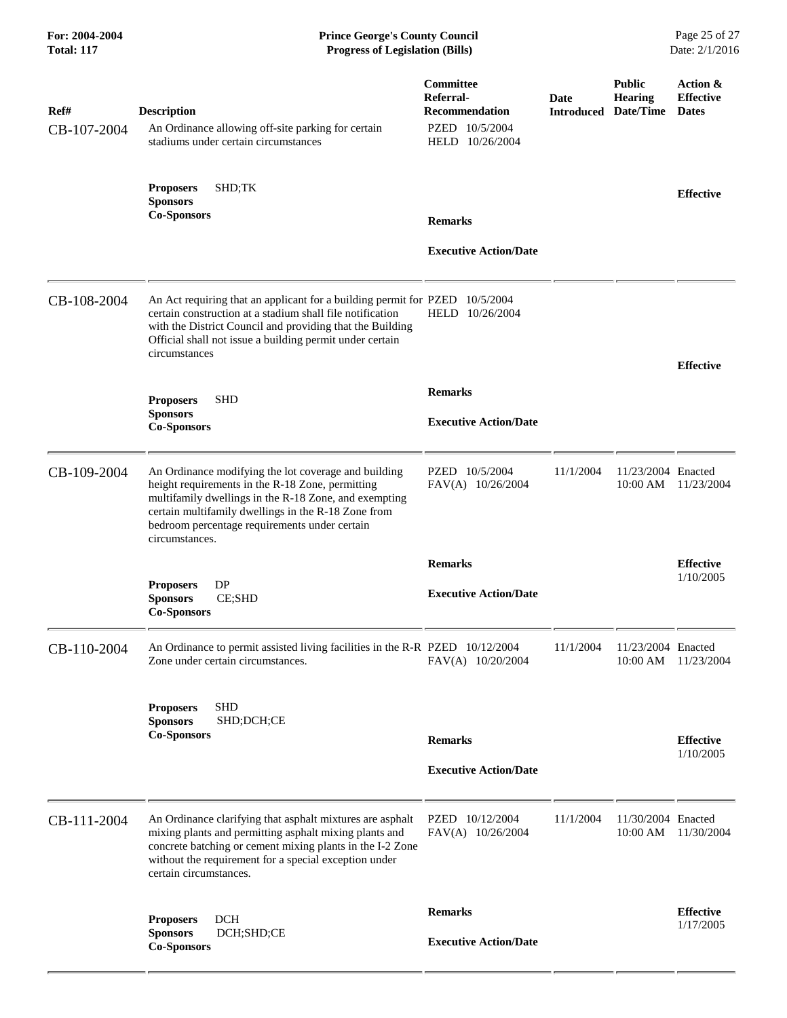| Ref#<br>CB-107-2004 | <b>Description</b><br>An Ordinance allowing off-site parking for certain<br>stadiums under certain circumstances                                                                                                                                                                            | Committee<br>Referral-<br><b>Recommendation</b><br>PZED 10/5/2004<br>HELD 10/26/2004 | <b>Date</b> | <b>Public</b><br><b>Hearing</b><br><b>Introduced Date/Time</b> | Action &<br><b>Effective</b><br><b>Dates</b> |
|---------------------|---------------------------------------------------------------------------------------------------------------------------------------------------------------------------------------------------------------------------------------------------------------------------------------------|--------------------------------------------------------------------------------------|-------------|----------------------------------------------------------------|----------------------------------------------|
|                     | SHD;TK<br><b>Proposers</b><br><b>Sponsors</b><br><b>Co-Sponsors</b>                                                                                                                                                                                                                         | <b>Remarks</b><br><b>Executive Action/Date</b>                                       |             |                                                                | <b>Effective</b>                             |
| CB-108-2004         | An Act requiring that an applicant for a building permit for PZED 10/5/2004<br>certain construction at a stadium shall file notification<br>with the District Council and providing that the Building<br>Official shall not issue a building permit under certain<br>circumstances          | HELD 10/26/2004                                                                      |             |                                                                | <b>Effective</b>                             |
|                     | <b>SHD</b><br><b>Proposers</b><br><b>Sponsors</b><br><b>Co-Sponsors</b>                                                                                                                                                                                                                     | <b>Remarks</b><br><b>Executive Action/Date</b>                                       |             |                                                                |                                              |
| CB-109-2004         | An Ordinance modifying the lot coverage and building<br>height requirements in the R-18 Zone, permitting<br>multifamily dwellings in the R-18 Zone, and exempting<br>certain multifamily dwellings in the R-18 Zone from<br>bedroom percentage requirements under certain<br>circumstances. | PZED 10/5/2004<br>FAV(A) 10/26/2004                                                  | 11/1/2004   | 11/23/2004 Enacted<br>10:00 AM                                 | 11/23/2004                                   |
|                     | DP<br><b>Proposers</b><br><b>Sponsors</b><br>CE;SHD                                                                                                                                                                                                                                         | <b>Remarks</b><br><b>Executive Action/Date</b>                                       |             |                                                                | <b>Effective</b><br>1/10/2005                |
| CB-110-2004         | <b>Co-Sponsors</b><br>An Ordinance to permit assisted living facilities in the R-R PZED 10/12/2004<br>Zone under certain circumstances.                                                                                                                                                     | FAV(A) 10/20/2004                                                                    | 11/1/2004   | 11/23/2004 Enacted                                             | 10:00 AM 11/23/2004                          |
|                     | <b>SHD</b><br><b>Proposers</b><br>SHD;DCH;CE<br><b>Sponsors</b><br><b>Co-Sponsors</b>                                                                                                                                                                                                       | <b>Remarks</b><br><b>Executive Action/Date</b>                                       |             |                                                                | <b>Effective</b><br>1/10/2005                |
| CB-111-2004         | An Ordinance clarifying that asphalt mixtures are asphalt<br>mixing plants and permitting asphalt mixing plants and<br>concrete batching or cement mixing plants in the I-2 Zone<br>without the requirement for a special exception under<br>certain circumstances.                         | PZED 10/12/2004<br>FAV(A) 10/26/2004                                                 | 11/1/2004   | 11/30/2004 Enacted                                             | 10:00 AM 11/30/2004                          |
|                     | <b>DCH</b><br><b>Proposers</b><br><b>Sponsors</b><br>DCH;SHD;CE<br><b>Co-Sponsors</b>                                                                                                                                                                                                       | <b>Remarks</b><br><b>Executive Action/Date</b>                                       |             |                                                                | <b>Effective</b><br>1/17/2005                |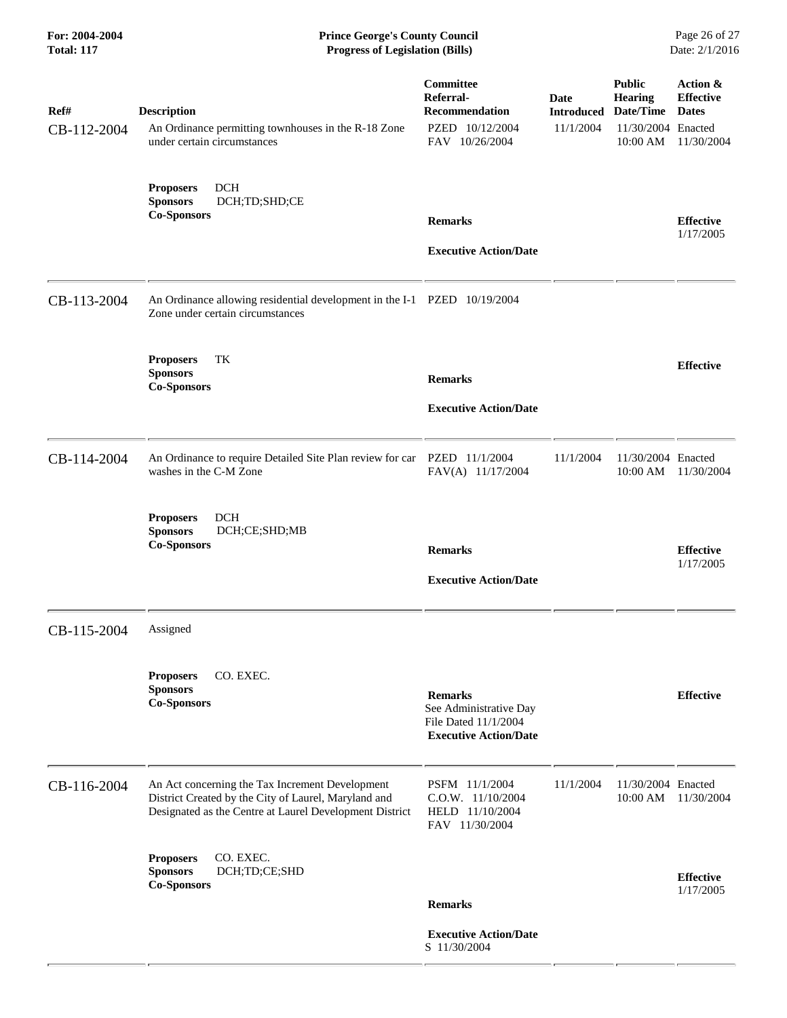**For: 2004-2004 Prince George's County Council** Page 26 of 27<br> **Prince George's County Council** Page 26 of 27<br> **Progress of Legislation (Bills)** Date: 2/1/2016 **Total: 117 Progress of Legislation (Bills)** 

r.

| Ref#<br>CB-112-2004 | <b>Description</b><br>An Ordinance permitting townhouses in the R-18 Zone<br>under certain circumstances                                                           | Committee<br>Referral-<br><b>Recommendation</b><br>PZED 10/12/2004<br>FAV 10/26/2004             | <b>Date</b><br><b>Introduced Date/Time</b><br>11/1/2004 | <b>Public</b><br>Hearing<br>11/30/2004 Enacted<br>10:00 AM | Action &<br><b>Effective</b><br><b>Dates</b><br>11/30/2004 |
|---------------------|--------------------------------------------------------------------------------------------------------------------------------------------------------------------|--------------------------------------------------------------------------------------------------|---------------------------------------------------------|------------------------------------------------------------|------------------------------------------------------------|
|                     | <b>DCH</b><br><b>Proposers</b><br><b>Sponsors</b><br>DCH;TD;SHD;CE<br><b>Co-Sponsors</b>                                                                           | <b>Remarks</b><br><b>Executive Action/Date</b>                                                   |                                                         |                                                            | <b>Effective</b><br>1/17/2005                              |
| CB-113-2004         | An Ordinance allowing residential development in the I-1 PZED 10/19/2004<br>Zone under certain circumstances                                                       |                                                                                                  |                                                         |                                                            |                                                            |
|                     | TK<br><b>Proposers</b><br><b>Sponsors</b><br><b>Co-Sponsors</b>                                                                                                    | <b>Remarks</b><br><b>Executive Action/Date</b>                                                   |                                                         |                                                            | <b>Effective</b>                                           |
| CB-114-2004         | An Ordinance to require Detailed Site Plan review for car<br>washes in the C-M Zone                                                                                | PZED 11/1/2004<br>FAV(A) 11/17/2004                                                              | 11/1/2004                                               | 11/30/2004 Enacted<br>10:00 AM                             | 11/30/2004                                                 |
|                     | <b>Proposers</b><br><b>DCH</b><br><b>Sponsors</b><br>DCH;CE;SHD;MB<br><b>Co-Sponsors</b>                                                                           | <b>Remarks</b><br><b>Executive Action/Date</b>                                                   |                                                         |                                                            | <b>Effective</b><br>1/17/2005                              |
| CB-115-2004         | Assigned                                                                                                                                                           |                                                                                                  |                                                         |                                                            |                                                            |
|                     | <b>Proposers</b><br>CO. EXEC.<br><b>Sponsors</b><br><b>Co-Sponsors</b>                                                                                             | <b>Remarks</b><br>See Administrative Day<br>File Dated 11/1/2004<br><b>Executive Action/Date</b> |                                                         |                                                            | <b>Effective</b>                                           |
| CB-116-2004         | An Act concerning the Tax Increment Development<br>District Created by the City of Laurel, Maryland and<br>Designated as the Centre at Laurel Development District | PSFM 11/1/2004<br>$C.O.W.$ 11/10/2004<br>HELD 11/10/2004<br>FAV 11/30/2004                       | 11/1/2004                                               | 11/30/2004 Enacted<br>10:00 AM                             | 11/30/2004                                                 |
|                     | <b>Proposers</b><br>CO. EXEC.<br>DCH;TD;CE;SHD<br><b>Sponsors</b><br><b>Co-Sponsors</b>                                                                            | <b>Remarks</b>                                                                                   |                                                         |                                                            | <b>Effective</b><br>1/17/2005                              |
|                     |                                                                                                                                                                    | <b>Executive Action/Date</b><br>S 11/30/2004                                                     |                                                         |                                                            |                                                            |